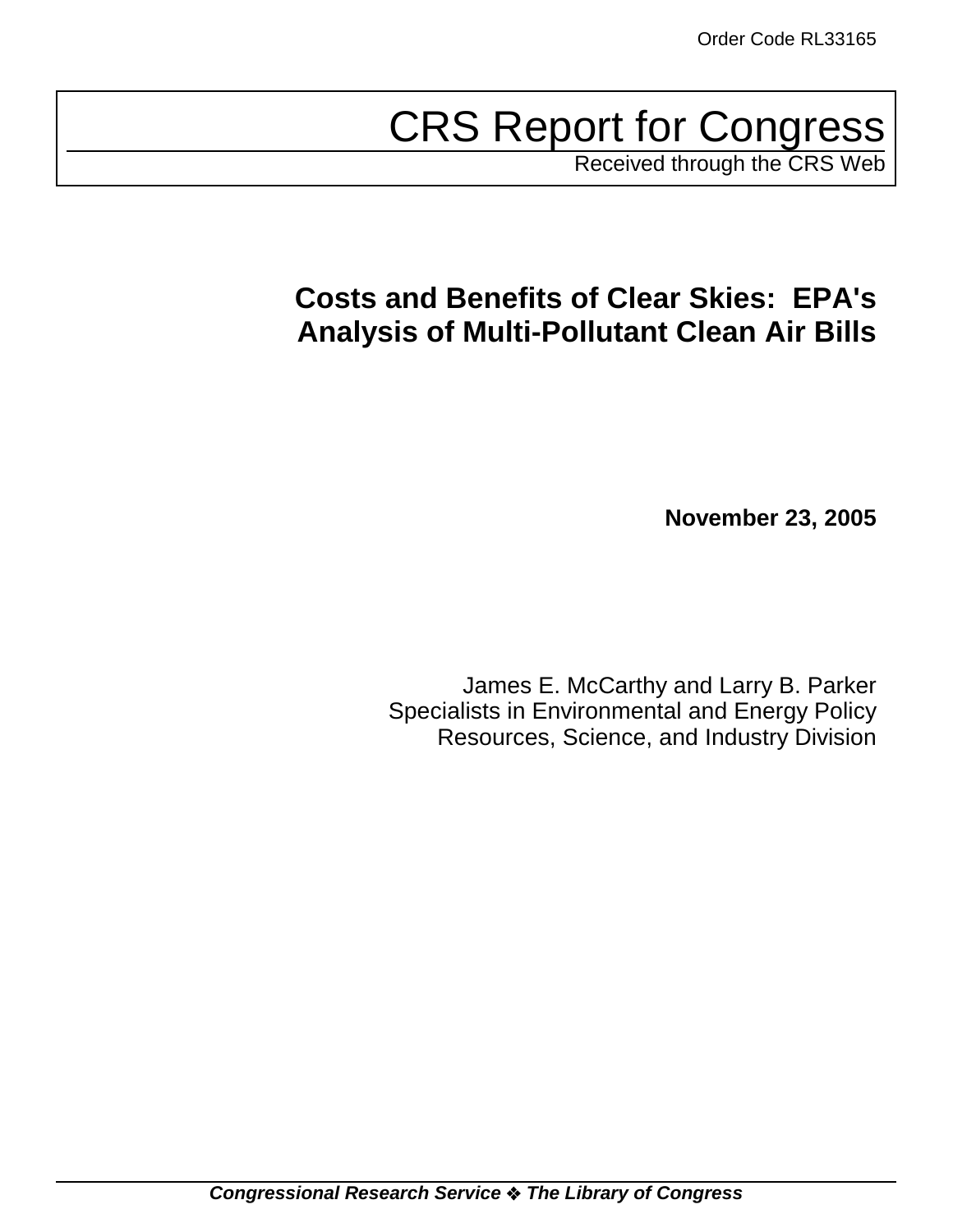# CRS Report for Congress

Received through the CRS Web

## **Costs and Benefits of Clear Skies: EPA's Analysis of Multi-Pollutant Clean Air Bills**

**November 23, 2005**

James E. McCarthy and Larry B. Parker Specialists in Environmental and Energy Policy Resources, Science, and Industry Division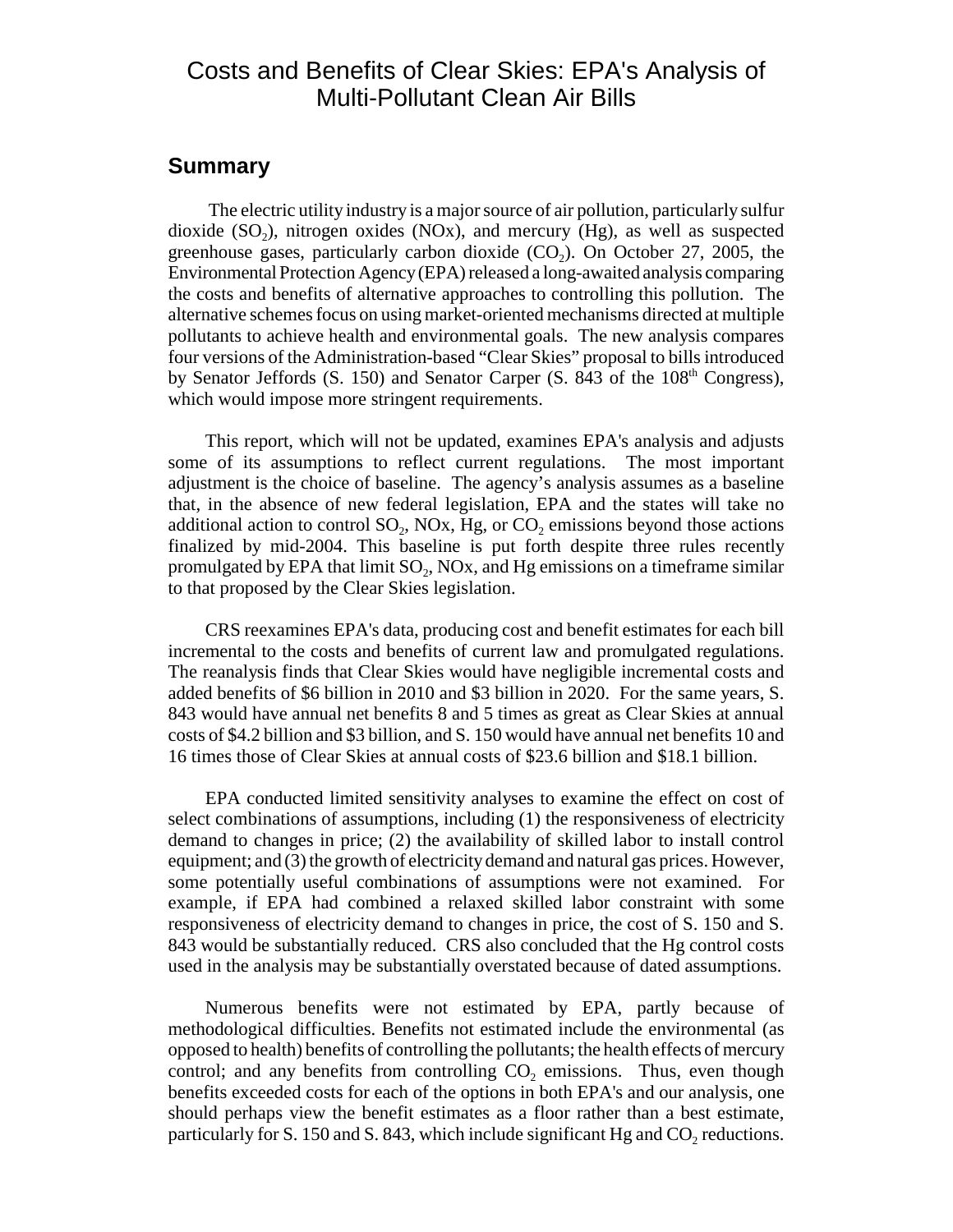## Costs and Benefits of Clear Skies: EPA's Analysis of Multi-Pollutant Clean Air Bills

#### **Summary**

 The electric utility industry is a major source of air pollution, particularly sulfur dioxide  $(SO<sub>2</sub>)$ , nitrogen oxides  $(NOx)$ , and mercury  $(Hg)$ , as well as suspected greenhouse gases, particularly carbon dioxide  $(CO<sub>2</sub>)$ . On October 27, 2005, the Environmental Protection Agency (EPA) released a long-awaited analysis comparing the costs and benefits of alternative approaches to controlling this pollution. The alternative schemes focus on using market-oriented mechanisms directed at multiple pollutants to achieve health and environmental goals. The new analysis compares four versions of the Administration-based "Clear Skies" proposal to bills introduced by Senator Jeffords  $(S, 150)$  and Senator Carper  $(S, 843)$  of the  $108<sup>th</sup>$  Congress), which would impose more stringent requirements.

This report, which will not be updated, examines EPA's analysis and adjusts some of its assumptions to reflect current regulations. The most important adjustment is the choice of baseline. The agency's analysis assumes as a baseline that, in the absence of new federal legislation, EPA and the states will take no additional action to control  $SO_2$ ,  $NOX$ ,  $Hg$ , or  $CO_2$  emissions beyond those actions finalized by mid-2004. This baseline is put forth despite three rules recently promulgated by EPA that limit  $SO_2$ , NOx, and Hg emissions on a timeframe similar to that proposed by the Clear Skies legislation.

CRS reexamines EPA's data, producing cost and benefit estimates for each bill incremental to the costs and benefits of current law and promulgated regulations. The reanalysis finds that Clear Skies would have negligible incremental costs and added benefits of \$6 billion in 2010 and \$3 billion in 2020. For the same years, S. 843 would have annual net benefits 8 and 5 times as great as Clear Skies at annual costs of \$4.2 billion and \$3 billion, and S. 150 would have annual net benefits 10 and 16 times those of Clear Skies at annual costs of \$23.6 billion and \$18.1 billion.

EPA conducted limited sensitivity analyses to examine the effect on cost of select combinations of assumptions, including (1) the responsiveness of electricity demand to changes in price; (2) the availability of skilled labor to install control equipment; and (3) the growth of electricity demand and natural gas prices. However, some potentially useful combinations of assumptions were not examined. For example, if EPA had combined a relaxed skilled labor constraint with some responsiveness of electricity demand to changes in price, the cost of S. 150 and S. 843 would be substantially reduced. CRS also concluded that the Hg control costs used in the analysis may be substantially overstated because of dated assumptions.

Numerous benefits were not estimated by EPA, partly because of methodological difficulties. Benefits not estimated include the environmental (as opposed to health) benefits of controlling the pollutants; the health effects of mercury control; and any benefits from controlling  $CO<sub>2</sub>$  emissions. Thus, even though benefits exceeded costs for each of the options in both EPA's and our analysis, one should perhaps view the benefit estimates as a floor rather than a best estimate, particularly for S. 150 and S. 843, which include significant Hg and  $CO<sub>2</sub>$  reductions.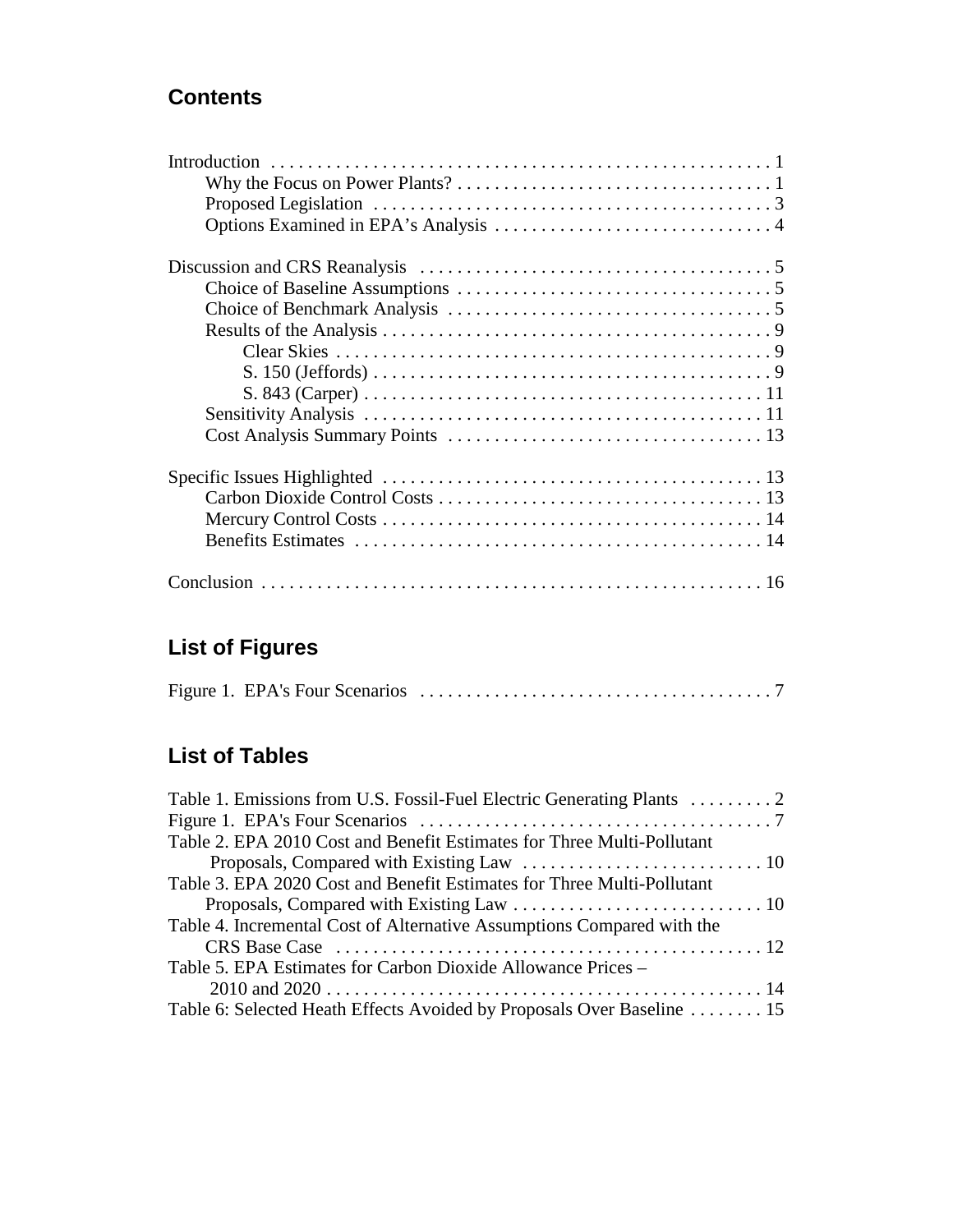## **Contents**

## **List of Figures**

## **List of Tables**

| Table 1. Emissions from U.S. Fossil-Fuel Electric Generating Plants  2 |
|------------------------------------------------------------------------|
|                                                                        |
| Table 2. EPA 2010 Cost and Benefit Estimates for Three Multi-Pollutant |
|                                                                        |
| Table 3. EPA 2020 Cost and Benefit Estimates for Three Multi-Pollutant |
|                                                                        |
| Table 4. Incremental Cost of Alternative Assumptions Compared with the |
|                                                                        |
| Table 5. EPA Estimates for Carbon Dioxide Allowance Prices –           |
|                                                                        |
| Table 6: Selected Heath Effects Avoided by Proposals Over Baseline 15  |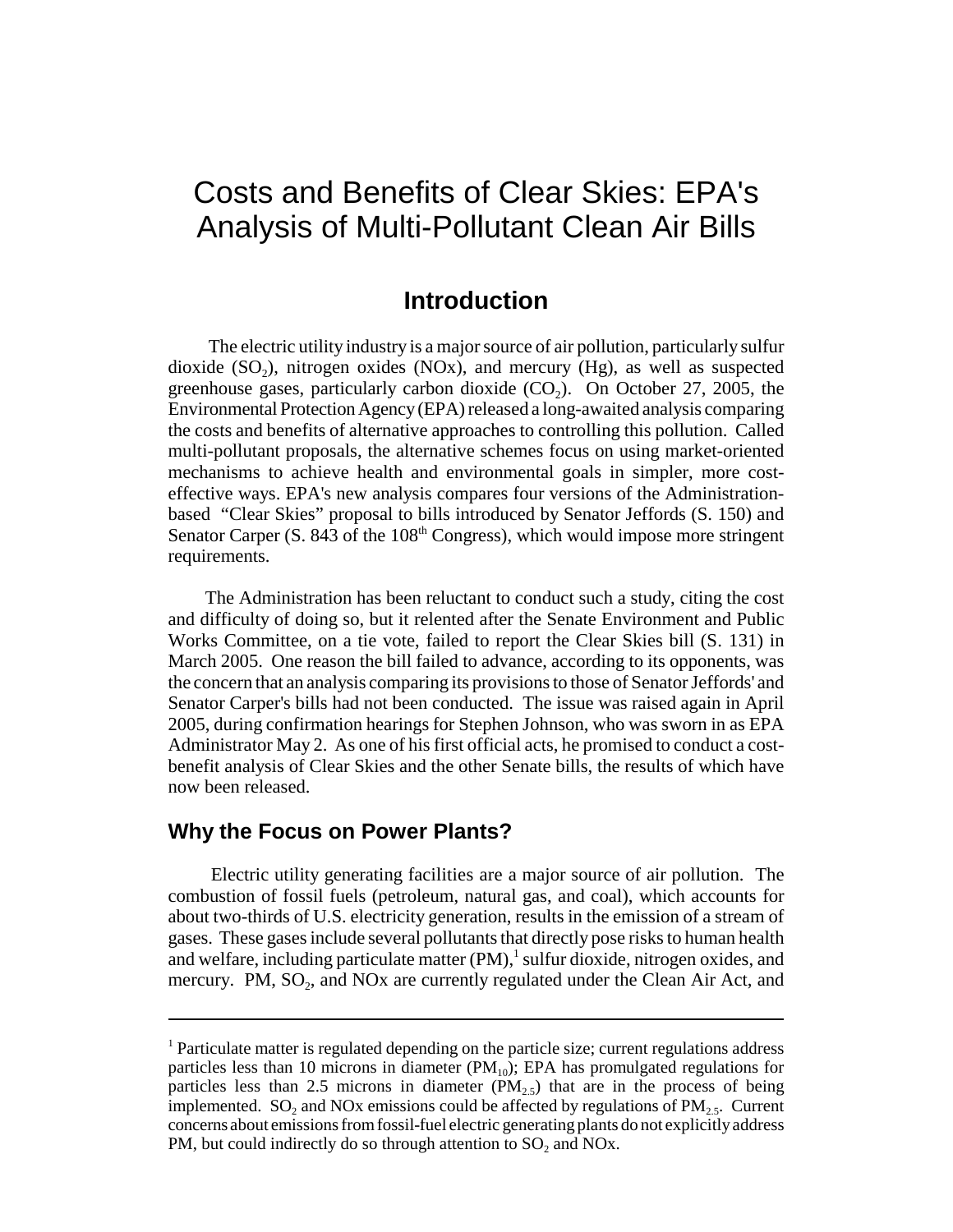## Costs and Benefits of Clear Skies: EPA's Analysis of Multi-Pollutant Clean Air Bills

### **Introduction**

 The electric utility industry is a major source of air pollution, particularly sulfur dioxide  $(SO<sub>2</sub>)$ , nitrogen oxides  $(NOx)$ , and mercury  $(Hg)$ , as well as suspected greenhouse gases, particularly carbon dioxide  $(CO<sub>2</sub>)$ . On October 27, 2005, the Environmental Protection Agency (EPA) released a long-awaited analysis comparing the costs and benefits of alternative approaches to controlling this pollution. Called multi-pollutant proposals, the alternative schemes focus on using market-oriented mechanisms to achieve health and environmental goals in simpler, more costeffective ways. EPA's new analysis compares four versions of the Administrationbased "Clear Skies" proposal to bills introduced by Senator Jeffords (S. 150) and Senator Carper (S. 843 of the  $108<sup>th</sup>$  Congress), which would impose more stringent requirements.

The Administration has been reluctant to conduct such a study, citing the cost and difficulty of doing so, but it relented after the Senate Environment and Public Works Committee, on a tie vote, failed to report the Clear Skies bill (S. 131) in March 2005. One reason the bill failed to advance, according to its opponents, was the concern that an analysis comparing its provisions to those of Senator Jeffords' and Senator Carper's bills had not been conducted. The issue was raised again in April 2005, during confirmation hearings for Stephen Johnson, who was sworn in as EPA Administrator May 2. As one of his first official acts, he promised to conduct a costbenefit analysis of Clear Skies and the other Senate bills, the results of which have now been released.

#### **Why the Focus on Power Plants?**

 Electric utility generating facilities are a major source of air pollution. The combustion of fossil fuels (petroleum, natural gas, and coal), which accounts for about two-thirds of U.S. electricity generation, results in the emission of a stream of gases. These gases include several pollutants that directly pose risks to human health and welfare, including particulate matter (PM),<sup>1</sup> sulfur dioxide, nitrogen oxides, and mercury. PM, SO<sub>2</sub>, and NO<sub>x</sub> are currently regulated under the Clean Air Act, and

<sup>&</sup>lt;sup>1</sup> Particulate matter is regulated depending on the particle size; current regulations address particles less than 10 microns in diameter  $(PM_{10})$ ; EPA has promulgated regulations for particles less than 2.5 microns in diameter  $(PM_{2,5})$  that are in the process of being implemented. SO<sub>2</sub> and NO<sub>x</sub> emissions could be affected by regulations of PM<sub>2</sub>. Current concerns about emissions from fossil-fuel electric generating plants do not explicitly address PM, but could indirectly do so through attention to  $SO_2$  and NOx.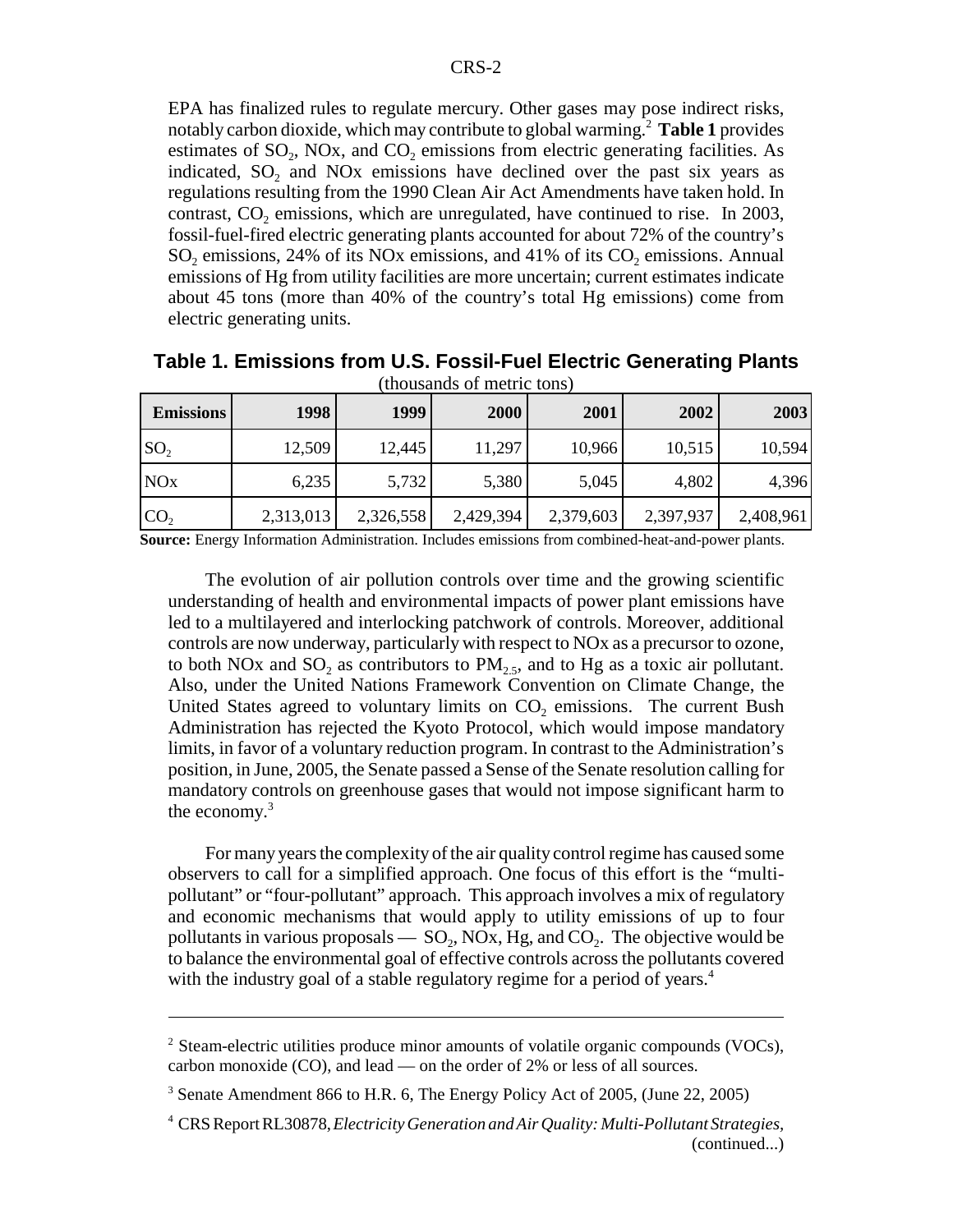EPA has finalized rules to regulate mercury. Other gases may pose indirect risks, notably carbon dioxide, which may contribute to global warming.2 **Table 1** provides estimates of  $SO_2$ , NOx, and  $CO_2$  emissions from electric generating facilities. As indicated,  $SO_2$  and NOx emissions have declined over the past six years as regulations resulting from the 1990 Clean Air Act Amendments have taken hold. In contrast,  $CO<sub>2</sub>$  emissions, which are unregulated, have continued to rise. In 2003, fossil-fuel-fired electric generating plants accounted for about 72% of the country's  $SO_2$  emissions, 24% of its NOx emissions, and 41% of its  $CO_2$  emissions. Annual emissions of Hg from utility facilities are more uncertain; current estimates indicate about 45 tons (more than 40% of the country's total Hg emissions) come from electric generating units.

| <b>Emissions</b> | 1998      | 1999      | 2000      | 2001      | 2002      | 2003      |
|------------------|-----------|-----------|-----------|-----------|-----------|-----------|
| SO <sub>2</sub>  | 12,509    | 12,445    | 11,297    | 10,966    | 10,515    | 10,594    |
| <b>NO</b> x      | 6,235     | 5,732     | 5,380     | 5,045     | 4,802     | 4,396     |
| CO <sub>2</sub>  | 2,313,013 | 2,326,558 | 2,429,394 | 2,379,603 | 2,397,937 | 2,408,961 |

**Table 1. Emissions from U.S. Fossil-Fuel Electric Generating Plants** (thousands of metric tons)

**Source:** Energy Information Administration. Includes emissions from combined-heat-and-power plants.

The evolution of air pollution controls over time and the growing scientific understanding of health and environmental impacts of power plant emissions have led to a multilayered and interlocking patchwork of controls. Moreover, additional controls are now underway, particularly with respect to NOx as a precursor to ozone, to both NOx and  $SO_2$  as contributors to  $PM_{2,5}$ , and to Hg as a toxic air pollutant. Also, under the United Nations Framework Convention on Climate Change, the United States agreed to voluntary limits on  $CO<sub>2</sub>$  emissions. The current Bush Administration has rejected the Kyoto Protocol, which would impose mandatory limits, in favor of a voluntary reduction program. In contrast to the Administration's position, in June, 2005, the Senate passed a Sense of the Senate resolution calling for mandatory controls on greenhouse gases that would not impose significant harm to the economy.3

For many years the complexity of the air quality control regime has caused some observers to call for a simplified approach. One focus of this effort is the "multipollutant" or "four-pollutant" approach. This approach involves a mix of regulatory and economic mechanisms that would apply to utility emissions of up to four pollutants in various proposals —  $SO_2$ , NOx, Hg, and  $CO_2$ . The objective would be to balance the environmental goal of effective controls across the pollutants covered with the industry goal of a stable regulatory regime for a period of years.<sup>4</sup>

<sup>&</sup>lt;sup>2</sup> Steam-electric utilities produce minor amounts of volatile organic compounds (VOCs), carbon monoxide (CO), and lead — on the order of 2% or less of all sources.

<sup>&</sup>lt;sup>3</sup> Senate Amendment 866 to H.R. 6, The Energy Policy Act of 2005, (June 22, 2005)

<sup>4</sup> CRS Report RL30878, *Electricity Generation and Air Quality: Multi-Pollutant Strategies,* (continued...)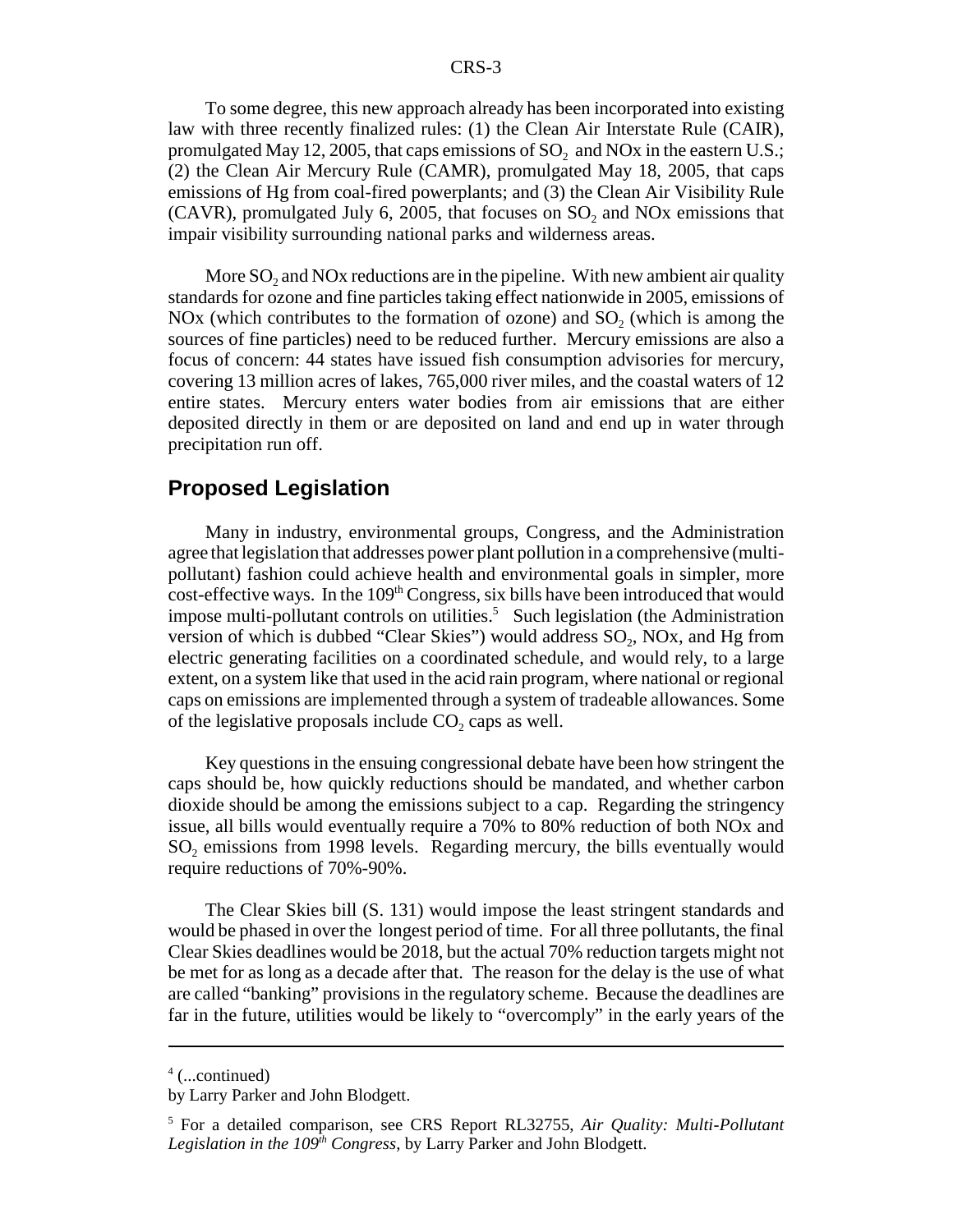To some degree, this new approach already has been incorporated into existing law with three recently finalized rules: (1) the Clean Air Interstate Rule (CAIR), promulgated May 12, 2005, that caps emissions of  $SO<sub>2</sub>$  and NOx in the eastern U.S.; (2) the Clean Air Mercury Rule (CAMR), promulgated May 18, 2005, that caps emissions of Hg from coal-fired powerplants; and (3) the Clean Air Visibility Rule  $(CAVR)$ , promulgated July 6, 2005, that focuses on  $SO<sub>2</sub>$  and NO<sub>x</sub> emissions that impair visibility surrounding national parks and wilderness areas.

More  $SO_2$  and NOx reductions are in the pipeline. With new ambient air quality standards for ozone and fine particles taking effect nationwide in 2005, emissions of NOx (which contributes to the formation of ozone) and  $SO<sub>2</sub>$  (which is among the sources of fine particles) need to be reduced further. Mercury emissions are also a focus of concern: 44 states have issued fish consumption advisories for mercury, covering 13 million acres of lakes, 765,000 river miles, and the coastal waters of 12 entire states. Mercury enters water bodies from air emissions that are either deposited directly in them or are deposited on land and end up in water through precipitation run off.

#### **Proposed Legislation**

Many in industry, environmental groups, Congress, and the Administration agree that legislation that addresses power plant pollution in a comprehensive (multipollutant) fashion could achieve health and environmental goals in simpler, more  $cost\text{-}effective$  ways. In the  $109<sup>th</sup> Congress$ , six bills have been introduced that would impose multi-pollutant controls on utilities.<sup>5</sup> Such legislation (the Administration version of which is dubbed "Clear Skies") would address  $SO<sub>2</sub>$ , NOx, and Hg from electric generating facilities on a coordinated schedule, and would rely, to a large extent, on a system like that used in the acid rain program, where national or regional caps on emissions are implemented through a system of tradeable allowances. Some of the legislative proposals include  $CO<sub>2</sub>$  caps as well.

Key questions in the ensuing congressional debate have been how stringent the caps should be, how quickly reductions should be mandated, and whether carbon dioxide should be among the emissions subject to a cap. Regarding the stringency issue, all bills would eventually require a 70% to 80% reduction of both NOx and SO<sub>2</sub> emissions from 1998 levels. Regarding mercury, the bills eventually would require reductions of 70%-90%.

The Clear Skies bill (S. 131) would impose the least stringent standards and would be phased in over the longest period of time. For all three pollutants, the final Clear Skies deadlines would be 2018, but the actual 70% reduction targets might not be met for as long as a decade after that. The reason for the delay is the use of what are called "banking" provisions in the regulatory scheme. Because the deadlines are far in the future, utilities would be likely to "overcomply" in the early years of the

<sup>4</sup> (...continued)

by Larry Parker and John Blodgett.

<sup>5</sup> For a detailed comparison, see CRS Report RL32755, *Air Quality: Multi-Pollutant Legislation in the 109th Congress*, by Larry Parker and John Blodgett.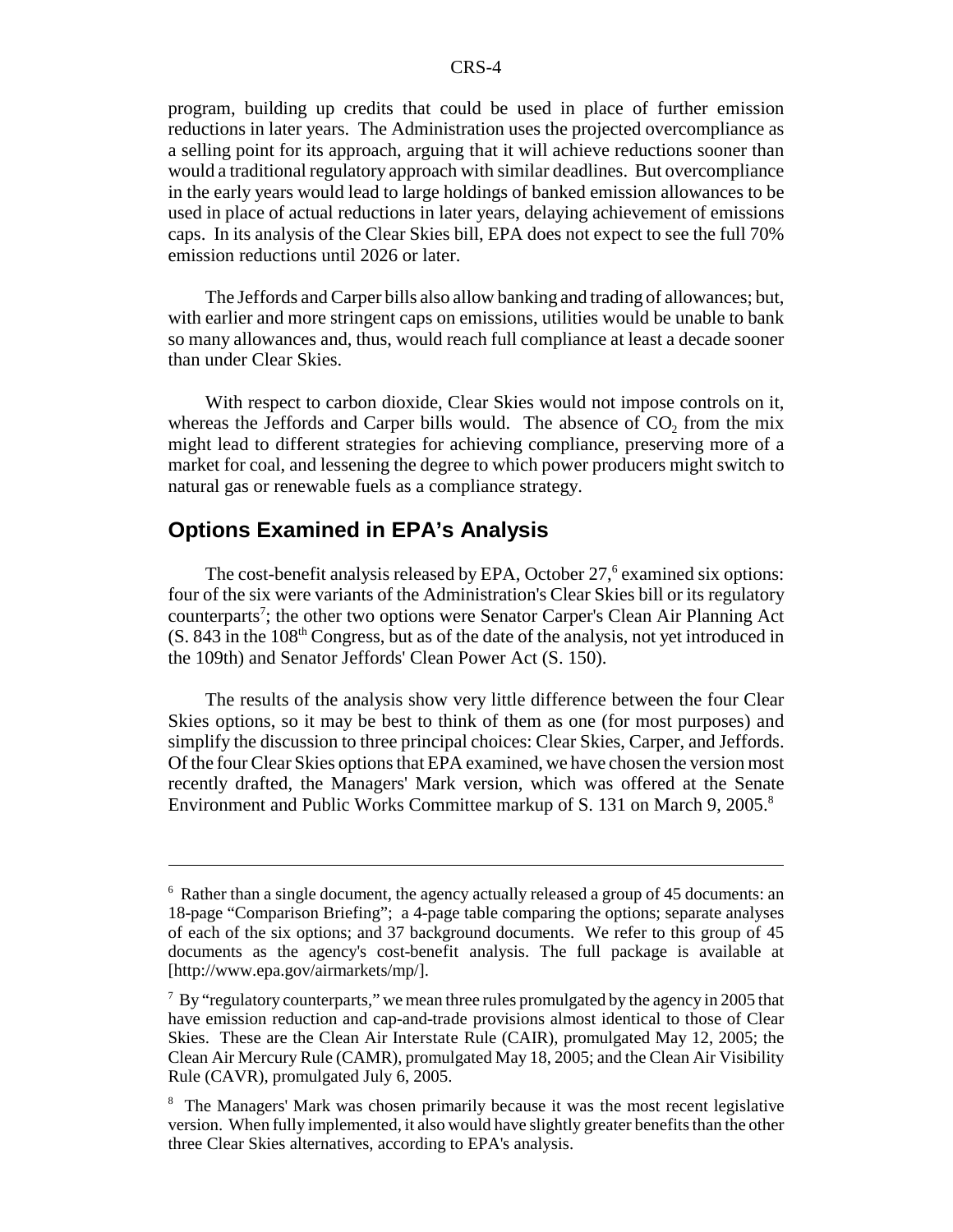program, building up credits that could be used in place of further emission reductions in later years. The Administration uses the projected overcompliance as a selling point for its approach, arguing that it will achieve reductions sooner than would a traditional regulatory approach with similar deadlines. But overcompliance in the early years would lead to large holdings of banked emission allowances to be used in place of actual reductions in later years, delaying achievement of emissions caps. In its analysis of the Clear Skies bill, EPA does not expect to see the full 70% emission reductions until 2026 or later.

The Jeffords and Carper bills also allow banking and trading of allowances; but, with earlier and more stringent caps on emissions, utilities would be unable to bank so many allowances and, thus, would reach full compliance at least a decade sooner than under Clear Skies.

With respect to carbon dioxide, Clear Skies would not impose controls on it, whereas the Jeffords and Carper bills would. The absence of  $CO<sub>2</sub>$  from the mix might lead to different strategies for achieving compliance, preserving more of a market for coal, and lessening the degree to which power producers might switch to natural gas or renewable fuels as a compliance strategy.

#### **Options Examined in EPA's Analysis**

The cost-benefit analysis released by EPA, October 27,<sup>6</sup> examined six options: four of the six were variants of the Administration's Clear Skies bill or its regulatory counterparts<sup>7</sup>; the other two options were Senator Carper's Clean Air Planning Act  $(S. 843$  in the  $108<sup>th</sup> Congress$ , but as of the date of the analysis, not yet introduced in the 109th) and Senator Jeffords' Clean Power Act (S. 150).

The results of the analysis show very little difference between the four Clear Skies options, so it may be best to think of them as one (for most purposes) and simplify the discussion to three principal choices: Clear Skies, Carper, and Jeffords. Of the four Clear Skies options that EPA examined, we have chosen the version most recently drafted, the Managers' Mark version, which was offered at the Senate Environment and Public Works Committee markup of S. 131 on March 9, 2005.<sup>8</sup>

<sup>&</sup>lt;sup>6</sup> Rather than a single document, the agency actually released a group of 45 documents: an 18-page "Comparison Briefing"; a 4-page table comparing the options; separate analyses of each of the six options; and 37 background documents. We refer to this group of 45 documents as the agency's cost-benefit analysis. The full package is available at [http://www.epa.gov/airmarkets/mp/].

 $7$  By "regulatory counterparts," we mean three rules promulgated by the agency in 2005 that have emission reduction and cap-and-trade provisions almost identical to those of Clear Skies. These are the Clean Air Interstate Rule (CAIR), promulgated May 12, 2005; the Clean Air Mercury Rule (CAMR), promulgated May 18, 2005; and the Clean Air Visibility Rule (CAVR), promulgated July 6, 2005.

<sup>&</sup>lt;sup>8</sup> The Managers' Mark was chosen primarily because it was the most recent legislative version. When fully implemented, it also would have slightly greater benefits than the other three Clear Skies alternatives, according to EPA's analysis.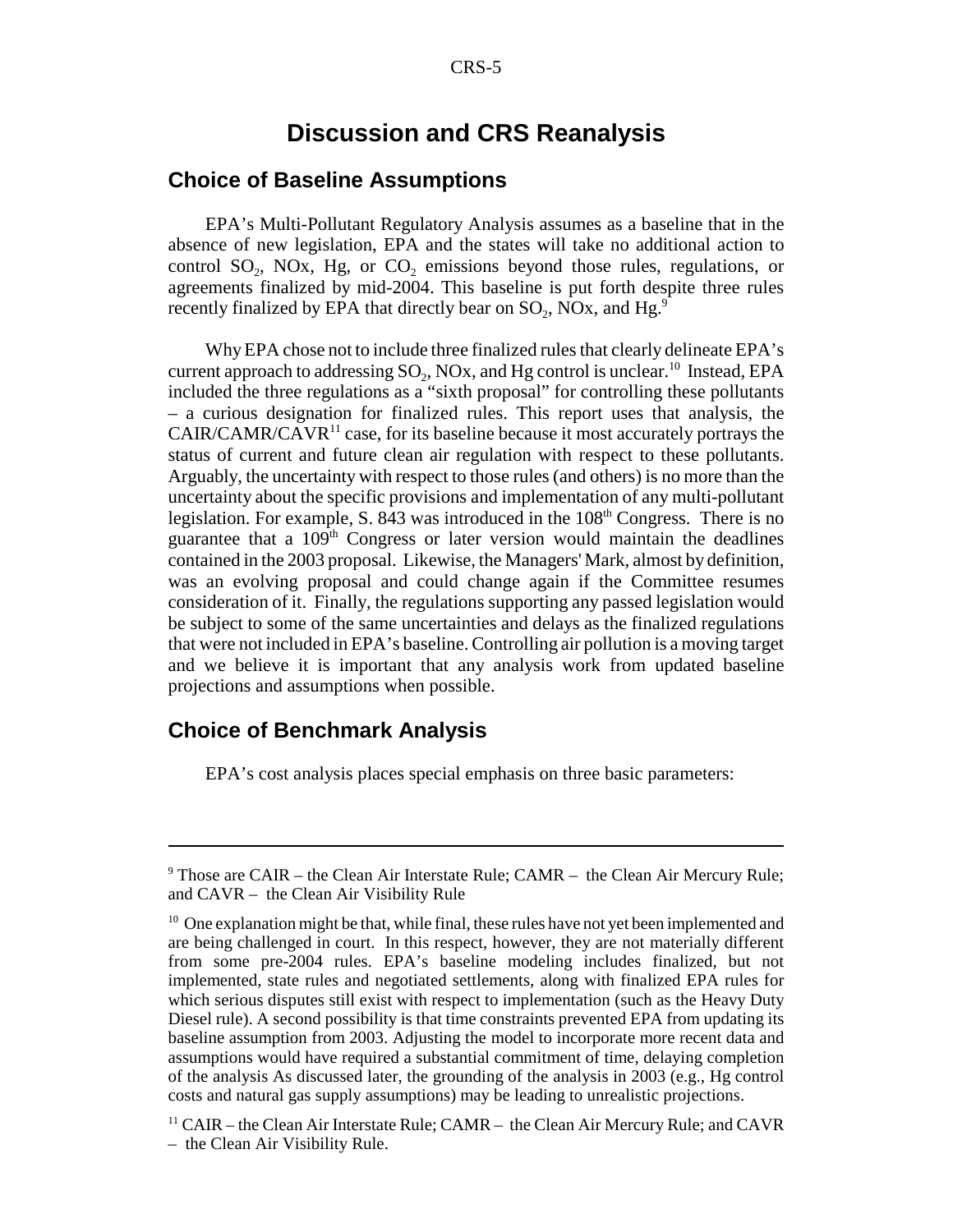### **Discussion and CRS Reanalysis**

#### **Choice of Baseline Assumptions**

EPA's Multi-Pollutant Regulatory Analysis assumes as a baseline that in the absence of new legislation, EPA and the states will take no additional action to control  $SO_2$ ,  $NOx$ ,  $Hg$ , or  $CO_2$  emissions beyond those rules, regulations, or agreements finalized by mid-2004. This baseline is put forth despite three rules recently finalized by EPA that directly bear on  $SO_2$ , NOx, and Hg.<sup>9</sup>

Why EPA chose not to include three finalized rules that clearly delineate EPA's current approach to addressing  $SO_2$ ,  $NOX$ , and Hg control is unclear.<sup>10</sup> Instead, EPA included the three regulations as a "sixth proposal" for controlling these pollutants – a curious designation for finalized rules. This report uses that analysis, the  $CAIR/CAMR/CAVR<sup>11</sup>$  case, for its baseline because it most accurately portrays the status of current and future clean air regulation with respect to these pollutants. Arguably, the uncertainty with respect to those rules (and others) is no more than the uncertainty about the specific provisions and implementation of any multi-pollutant legislation. For example, S. 843 was introduced in the  $108<sup>th</sup>$  Congress. There is no guarantee that a  $109<sup>th</sup>$  Congress or later version would maintain the deadlines contained in the 2003 proposal. Likewise, the Managers' Mark, almost by definition, was an evolving proposal and could change again if the Committee resumes consideration of it. Finally, the regulations supporting any passed legislation would be subject to some of the same uncertainties and delays as the finalized regulations that were not included in EPA's baseline. Controlling air pollution is a moving target and we believe it is important that any analysis work from updated baseline projections and assumptions when possible.

#### **Choice of Benchmark Analysis**

EPA's cost analysis places special emphasis on three basic parameters:

<sup>&</sup>lt;sup>9</sup> Those are CAIR – the Clean Air Interstate Rule; CAMR – the Clean Air Mercury Rule; and CAVR – the Clean Air Visibility Rule

 $10$  One explanation might be that, while final, these rules have not yet been implemented and are being challenged in court. In this respect, however, they are not materially different from some pre-2004 rules. EPA's baseline modeling includes finalized, but not implemented, state rules and negotiated settlements, along with finalized EPA rules for which serious disputes still exist with respect to implementation (such as the Heavy Duty Diesel rule). A second possibility is that time constraints prevented EPA from updating its baseline assumption from 2003. Adjusting the model to incorporate more recent data and assumptions would have required a substantial commitment of time, delaying completion of the analysis As discussed later, the grounding of the analysis in 2003 (e.g., Hg control costs and natural gas supply assumptions) may be leading to unrealistic projections.

 $11$  CAIR – the Clean Air Interstate Rule; CAMR – the Clean Air Mercury Rule; and CAVR – the Clean Air Visibility Rule.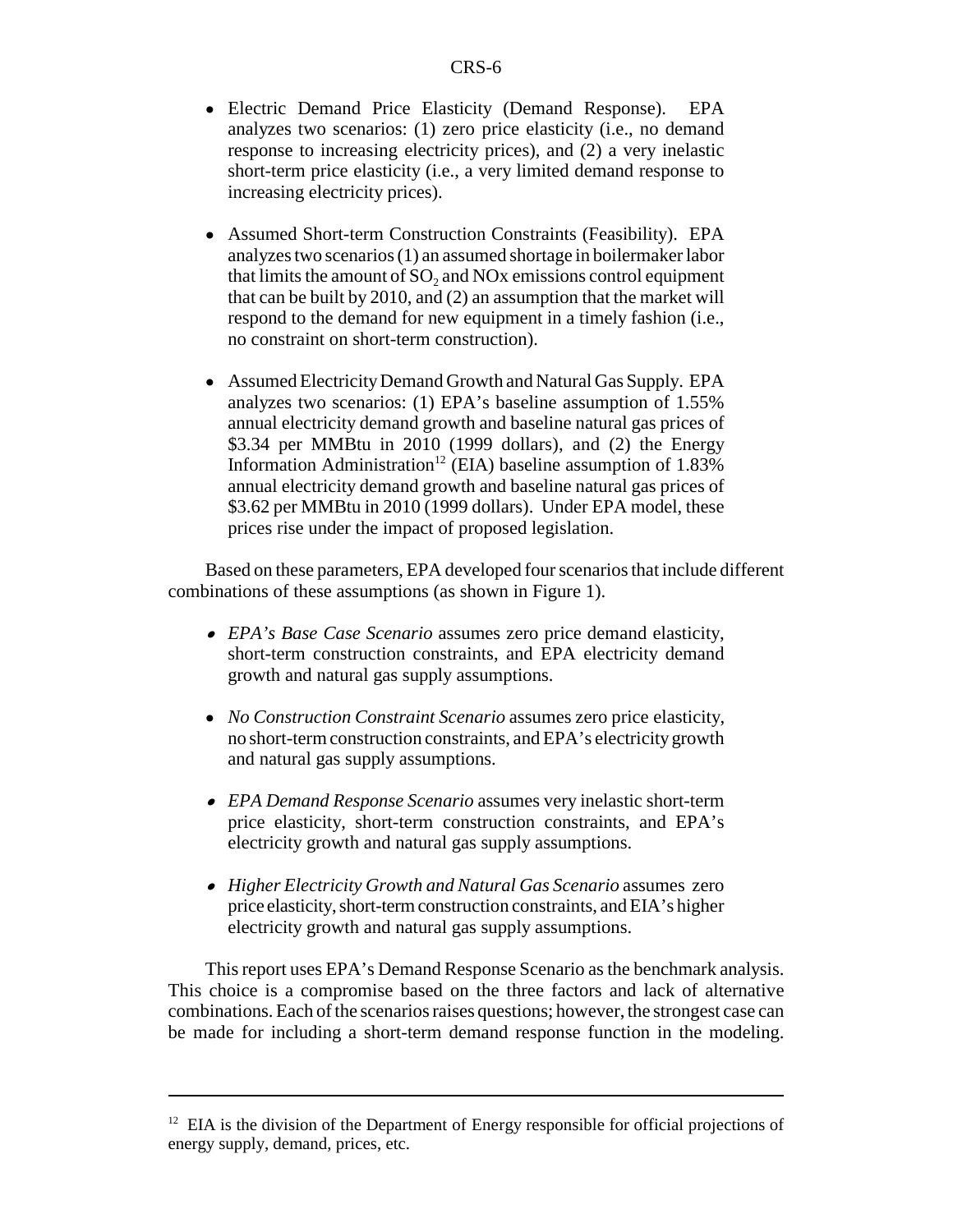- ! Electric Demand Price Elasticity (Demand Response). EPA analyzes two scenarios: (1) zero price elasticity (i.e., no demand response to increasing electricity prices), and (2) a very inelastic short-term price elasticity (i.e., a very limited demand response to increasing electricity prices).
- Assumed Short-term Construction Constraints (Feasibility). EPA analyzes two scenarios (1) an assumed shortage in boilermaker labor that limits the amount of  $SO<sub>2</sub>$  and NOx emissions control equipment that can be built by 2010, and (2) an assumption that the market will respond to the demand for new equipment in a timely fashion (i.e., no constraint on short-term construction).
- Assumed Electricity Demand Growth and Natural Gas Supply. EPA analyzes two scenarios: (1) EPA's baseline assumption of 1.55% annual electricity demand growth and baseline natural gas prices of \$3.34 per MMBtu in 2010 (1999 dollars), and (2) the Energy Information Administration<sup>12</sup> (EIA) baseline assumption of  $1.83\%$ annual electricity demand growth and baseline natural gas prices of \$3.62 per MMBtu in 2010 (1999 dollars). Under EPA model, these prices rise under the impact of proposed legislation.

Based on these parameters, EPA developed four scenarios that include different combinations of these assumptions (as shown in Figure 1).

- ! *EPA's Base Case Scenario* assumes zero price demand elasticity, short-term construction constraints, and EPA electricity demand growth and natural gas supply assumptions.
- ! *No Construction Constraint Scenario* assumes zero price elasticity, no short-term construction constraints, and EPA's electricity growth and natural gas supply assumptions.
- ! *EPA Demand Response Scenario* assumes very inelastic short-term price elasticity, short-term construction constraints, and EPA's electricity growth and natural gas supply assumptions.
- ! *Higher Electricity Growth and Natural Gas Scenario* assumes zero price elasticity, short-term construction constraints, and EIA's higher electricity growth and natural gas supply assumptions.

This report uses EPA's Demand Response Scenario as the benchmark analysis. This choice is a compromise based on the three factors and lack of alternative combinations. Each of the scenarios raises questions; however, the strongest case can be made for including a short-term demand response function in the modeling.

 $12$  EIA is the division of the Department of Energy responsible for official projections of energy supply, demand, prices, etc.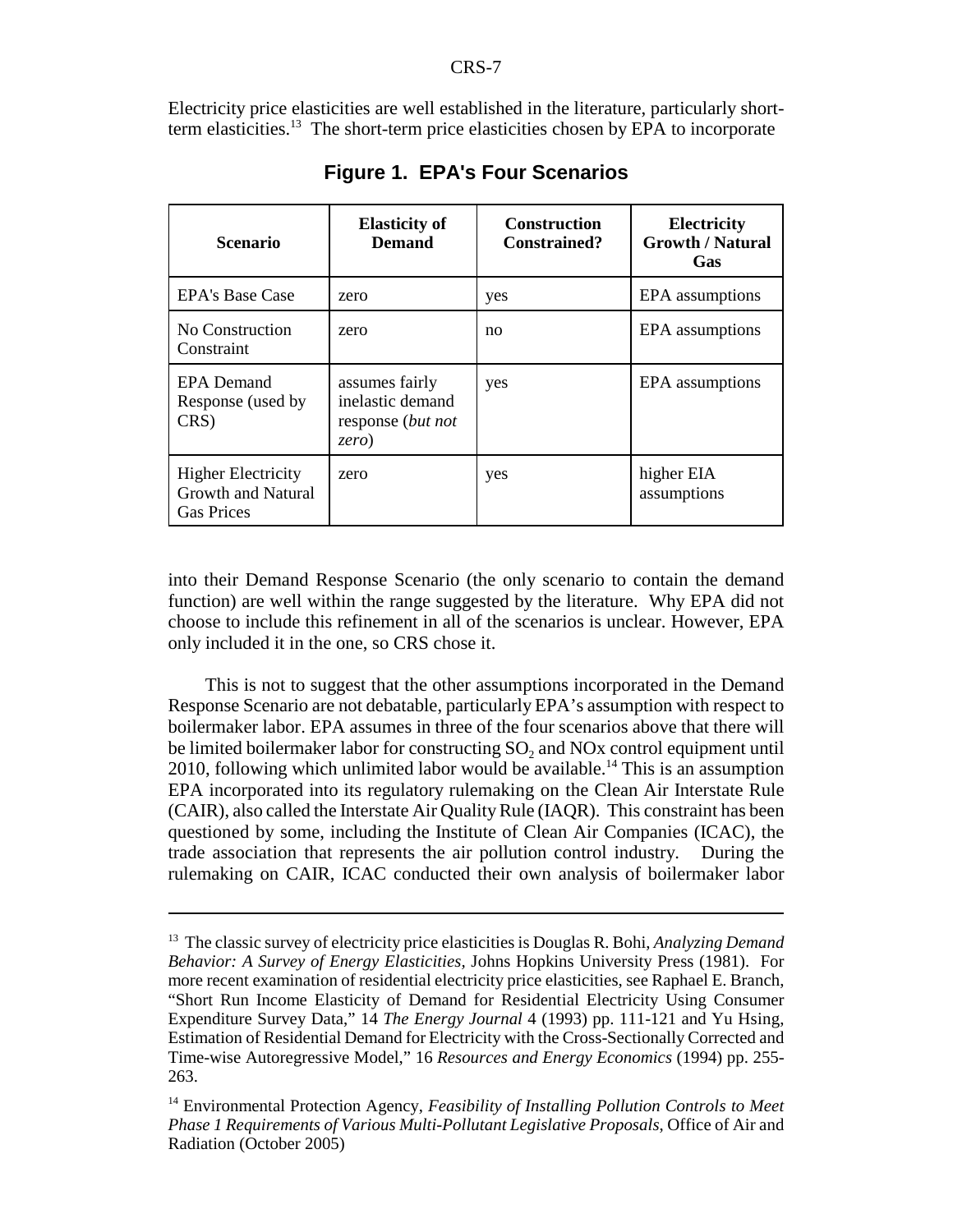Electricity price elasticities are well established in the literature, particularly shortterm elasticities.<sup>13</sup> The short-term price elasticities chosen by EPA to incorporate

| <b>Scenario</b>                                                             | <b>Elasticity of</b><br><b>Demand</b>                            | <b>Construction</b><br><b>Constrained?</b> | <b>Electricity</b><br><b>Growth / Natural</b><br>Gas |
|-----------------------------------------------------------------------------|------------------------------------------------------------------|--------------------------------------------|------------------------------------------------------|
| <b>EPA's Base Case</b>                                                      | zero                                                             | yes                                        | EPA assumptions                                      |
| No Construction<br>Constraint                                               | zero                                                             | no                                         | EPA assumptions                                      |
| <b>EPA</b> Demand<br>Response (used by<br>CRS)                              | assumes fairly<br>inelastic demand<br>response (but not<br>zero) | yes                                        | EPA assumptions                                      |
| <b>Higher Electricity</b><br><b>Growth and Natural</b><br><b>Gas Prices</b> | zero                                                             | yes                                        | higher EIA<br>assumptions                            |

**Figure 1. EPA's Four Scenarios**

into their Demand Response Scenario (the only scenario to contain the demand function) are well within the range suggested by the literature. Why EPA did not choose to include this refinement in all of the scenarios is unclear. However, EPA only included it in the one, so CRS chose it.

This is not to suggest that the other assumptions incorporated in the Demand Response Scenario are not debatable, particularly EPA's assumption with respect to boilermaker labor. EPA assumes in three of the four scenarios above that there will be limited boilermaker labor for constructing  $SO<sub>2</sub>$  and NOx control equipment until 2010, following which unlimited labor would be available.<sup>14</sup> This is an assumption EPA incorporated into its regulatory rulemaking on the Clean Air Interstate Rule (CAIR), also called the Interstate Air Quality Rule (IAQR). This constraint has been questioned by some, including the Institute of Clean Air Companies (ICAC), the trade association that represents the air pollution control industry. During the rulemaking on CAIR, ICAC conducted their own analysis of boilermaker labor

<sup>13</sup> The classic survey of electricity price elasticities is Douglas R. Bohi, *Analyzing Demand Behavior: A Survey of Energy Elasticities,* Johns Hopkins University Press (1981). For more recent examination of residential electricity price elasticities, see Raphael E. Branch, "Short Run Income Elasticity of Demand for Residential Electricity Using Consumer Expenditure Survey Data," 14 *The Energy Journal* 4 (1993) pp. 111-121 and Yu Hsing, Estimation of Residential Demand for Electricity with the Cross-Sectionally Corrected and Time-wise Autoregressive Model," 16 *Resources and Energy Economics* (1994) pp. 255- 263.

<sup>14</sup> Environmental Protection Agency, *Feasibility of Installing Pollution Controls to Meet Phase 1 Requirements of Various Multi-Pollutant Legislative Proposals*, Office of Air and Radiation (October 2005)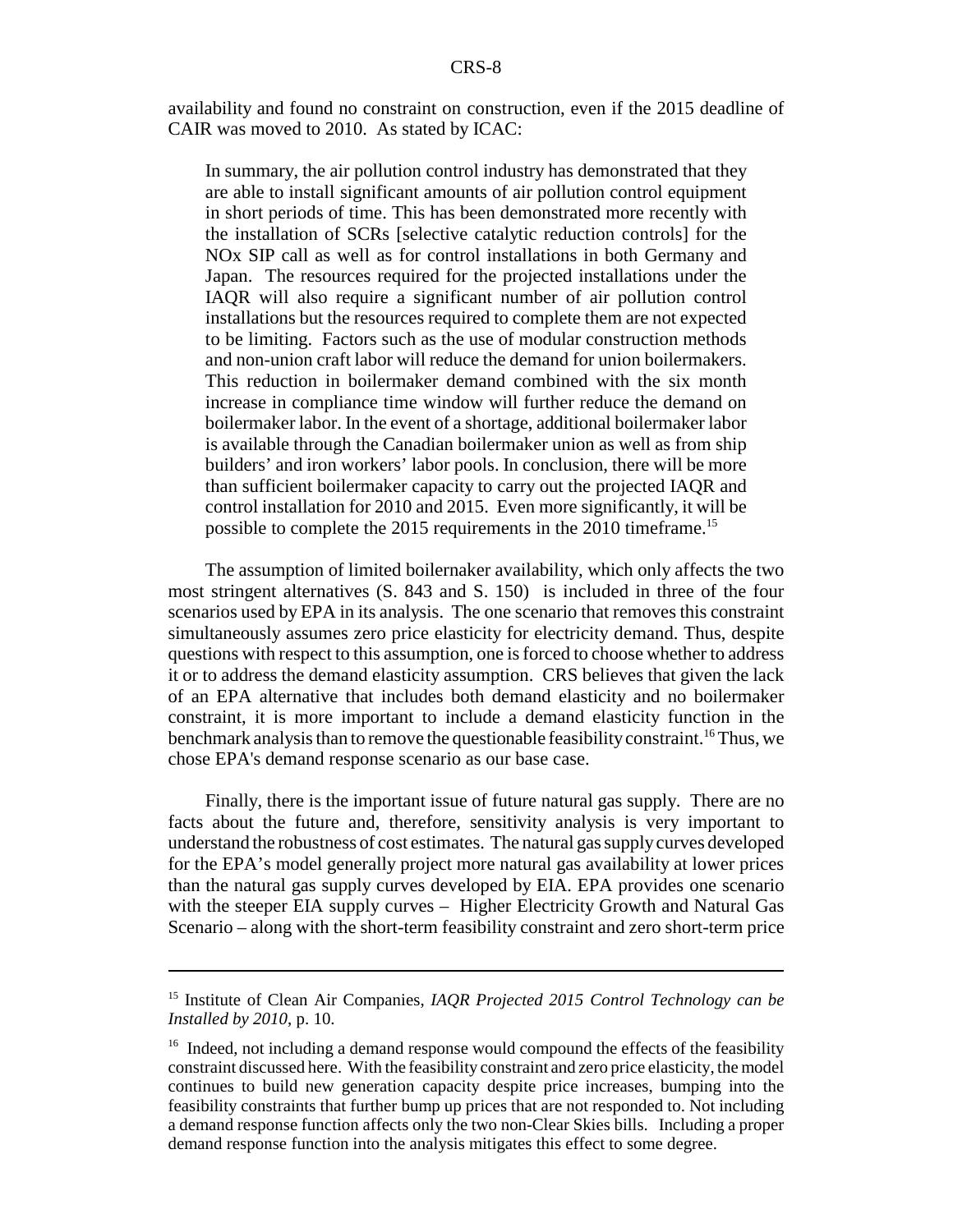availability and found no constraint on construction, even if the 2015 deadline of CAIR was moved to 2010. As stated by ICAC:

In summary, the air pollution control industry has demonstrated that they are able to install significant amounts of air pollution control equipment in short periods of time. This has been demonstrated more recently with the installation of SCRs [selective catalytic reduction controls] for the NOx SIP call as well as for control installations in both Germany and Japan. The resources required for the projected installations under the IAQR will also require a significant number of air pollution control installations but the resources required to complete them are not expected to be limiting. Factors such as the use of modular construction methods and non-union craft labor will reduce the demand for union boilermakers. This reduction in boilermaker demand combined with the six month increase in compliance time window will further reduce the demand on boilermaker labor. In the event of a shortage, additional boilermaker labor is available through the Canadian boilermaker union as well as from ship builders' and iron workers' labor pools. In conclusion, there will be more than sufficient boilermaker capacity to carry out the projected IAQR and control installation for 2010 and 2015. Even more significantly, it will be possible to complete the 2015 requirements in the 2010 timeframe.<sup>15</sup>

The assumption of limited boilernaker availability, which only affects the two most stringent alternatives (S. 843 and S. 150) is included in three of the four scenarios used by EPA in its analysis. The one scenario that removes this constraint simultaneously assumes zero price elasticity for electricity demand. Thus, despite questions with respect to this assumption, one is forced to choose whether to address it or to address the demand elasticity assumption. CRS believes that given the lack of an EPA alternative that includes both demand elasticity and no boilermaker constraint, it is more important to include a demand elasticity function in the benchmark analysis than to remove the questionable feasibility constraint.<sup>16</sup> Thus, we chose EPA's demand response scenario as our base case.

Finally, there is the important issue of future natural gas supply. There are no facts about the future and, therefore, sensitivity analysis is very important to understand the robustness of cost estimates. The natural gas supply curves developed for the EPA's model generally project more natural gas availability at lower prices than the natural gas supply curves developed by EIA. EPA provides one scenario with the steeper EIA supply curves – Higher Electricity Growth and Natural Gas Scenario – along with the short-term feasibility constraint and zero short-term price

<sup>15</sup> Institute of Clean Air Companies, *IAQR Projected 2015 Control Technology can be Installed by 2010*, p. 10.

<sup>&</sup>lt;sup>16</sup> Indeed, not including a demand response would compound the effects of the feasibility constraint discussed here. With the feasibility constraint and zero price elasticity, the model continues to build new generation capacity despite price increases, bumping into the feasibility constraints that further bump up prices that are not responded to. Not including a demand response function affects only the two non-Clear Skies bills. Including a proper demand response function into the analysis mitigates this effect to some degree.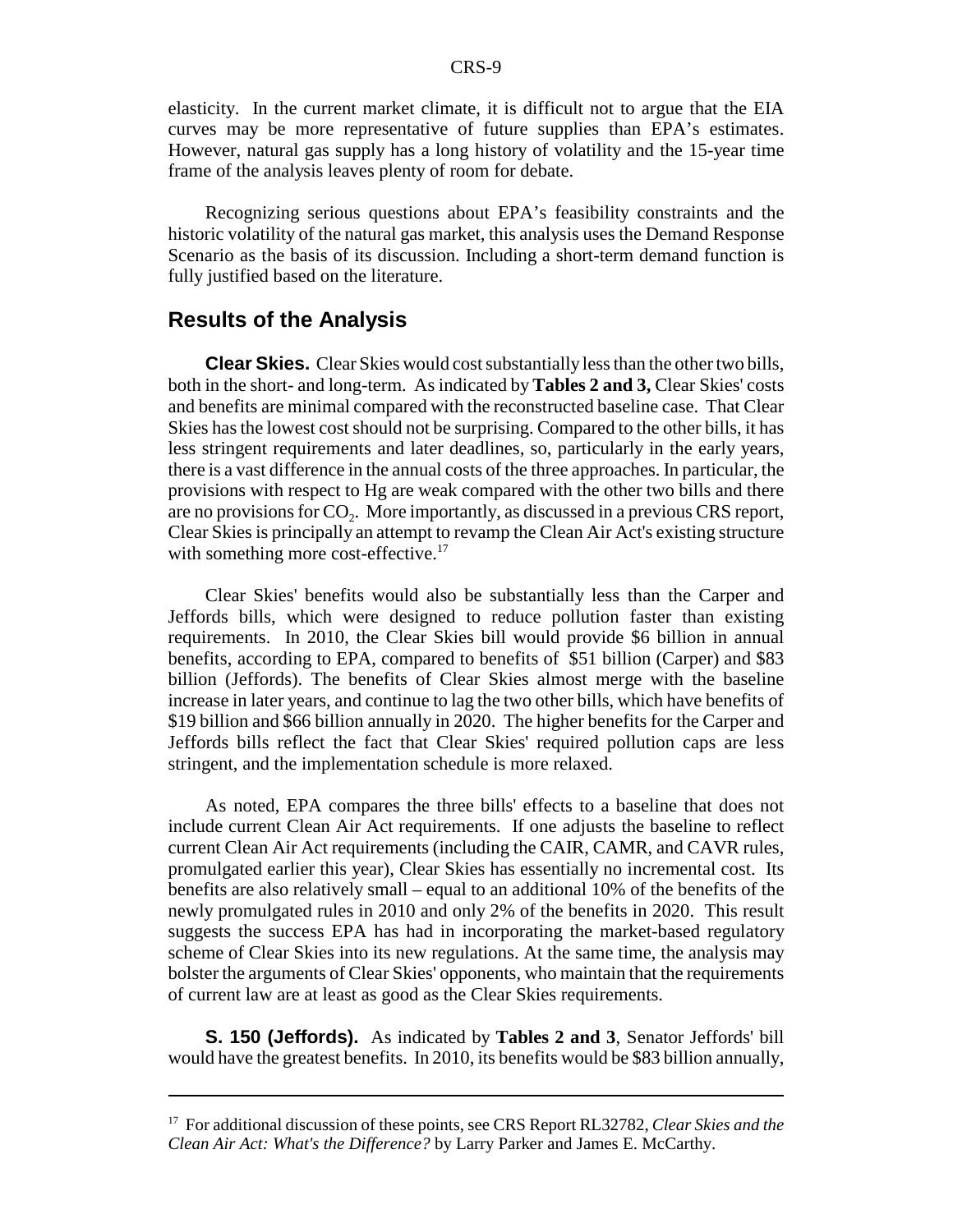elasticity. In the current market climate, it is difficult not to argue that the EIA curves may be more representative of future supplies than EPA's estimates. However, natural gas supply has a long history of volatility and the 15-year time frame of the analysis leaves plenty of room for debate.

Recognizing serious questions about EPA's feasibility constraints and the historic volatility of the natural gas market, this analysis uses the Demand Response Scenario as the basis of its discussion. Including a short-term demand function is fully justified based on the literature.

#### **Results of the Analysis**

**Clear Skies.** Clear Skies would cost substantially less than the other two bills, both in the short- and long-term. As indicated by **Tables 2 and 3,** Clear Skies' costs and benefits are minimal compared with the reconstructed baseline case. That Clear Skies has the lowest cost should not be surprising. Compared to the other bills, it has less stringent requirements and later deadlines, so, particularly in the early years, there is a vast difference in the annual costs of the three approaches. In particular, the provisions with respect to Hg are weak compared with the other two bills and there are no provisions for  $CO<sub>2</sub>$ . More importantly, as discussed in a previous CRS report, Clear Skies is principally an attempt to revamp the Clean Air Act's existing structure with something more cost-effective.<sup>17</sup>

Clear Skies' benefits would also be substantially less than the Carper and Jeffords bills, which were designed to reduce pollution faster than existing requirements. In 2010, the Clear Skies bill would provide \$6 billion in annual benefits, according to EPA, compared to benefits of \$51 billion (Carper) and \$83 billion (Jeffords). The benefits of Clear Skies almost merge with the baseline increase in later years, and continue to lag the two other bills, which have benefits of \$19 billion and \$66 billion annually in 2020. The higher benefits for the Carper and Jeffords bills reflect the fact that Clear Skies' required pollution caps are less stringent, and the implementation schedule is more relaxed.

As noted, EPA compares the three bills' effects to a baseline that does not include current Clean Air Act requirements. If one adjusts the baseline to reflect current Clean Air Act requirements (including the CAIR, CAMR, and CAVR rules, promulgated earlier this year), Clear Skies has essentially no incremental cost. Its benefits are also relatively small – equal to an additional 10% of the benefits of the newly promulgated rules in 2010 and only 2% of the benefits in 2020. This result suggests the success EPA has had in incorporating the market-based regulatory scheme of Clear Skies into its new regulations. At the same time, the analysis may bolster the arguments of Clear Skies' opponents, who maintain that the requirements of current law are at least as good as the Clear Skies requirements.

**S. 150 (Jeffords).** As indicated by **Tables 2 and 3**, Senator Jeffords' bill would have the greatest benefits. In 2010, its benefits would be \$83 billion annually,

<sup>17</sup> For additional discussion of these points, see CRS Report RL32782, *Clear Skies and the Clean Air Act: What's the Difference?* by Larry Parker and James E. McCarthy.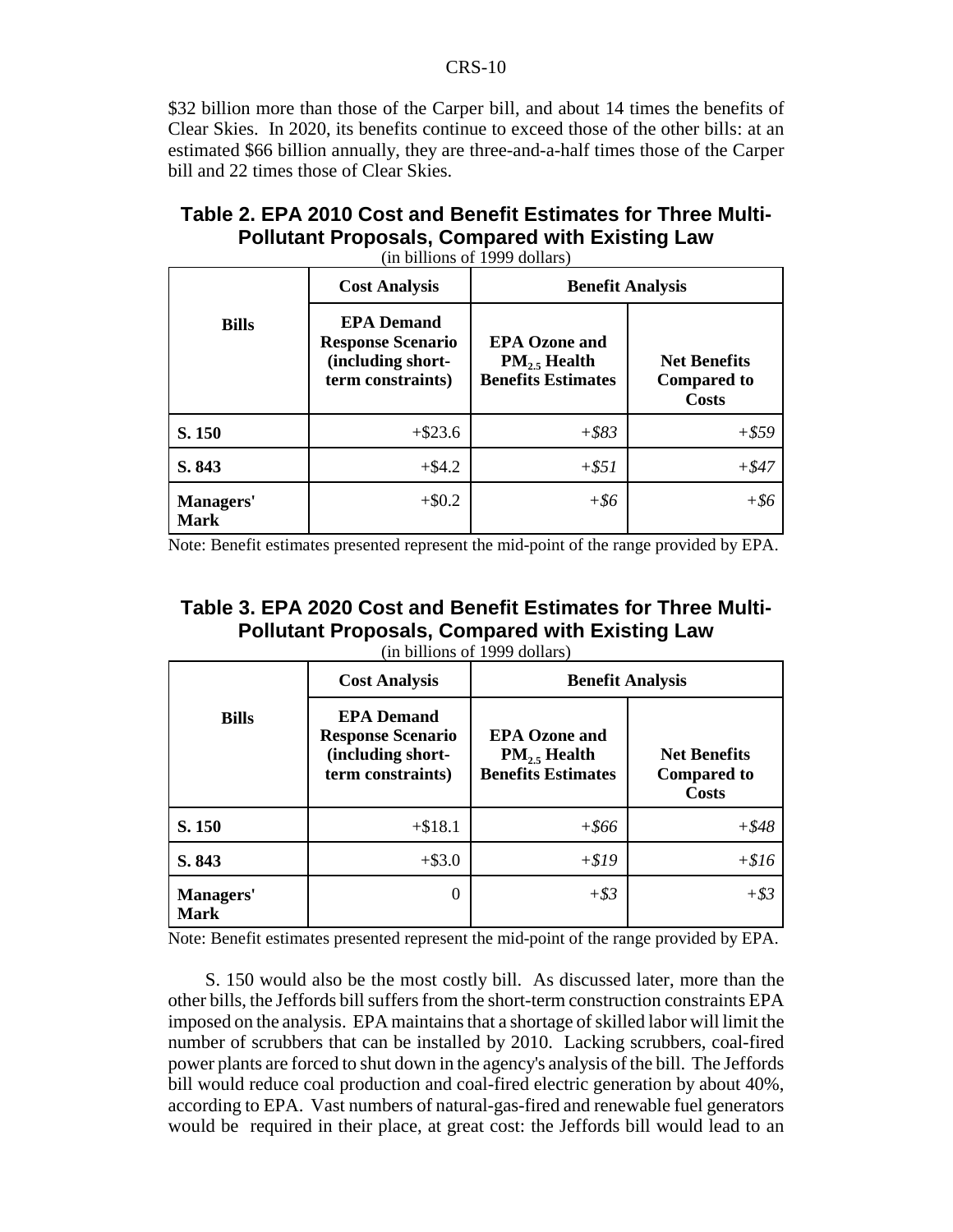\$32 billion more than those of the Carper bill, and about 14 times the benefits of Clear Skies. In 2020, its benefits continue to exceed those of the other bills: at an estimated \$66 billion annually, they are three-and-a-half times those of the Carper bill and 22 times those of Clear Skies.

| <b>TANIC 4. ET A ZVTV OOSTAND DENENT ESUMATOR TOF THESE MUNIT</b><br><b>Pollutant Proposals, Compared with Existing Law</b> |  |  |  |  |  |  |  |
|-----------------------------------------------------------------------------------------------------------------------------|--|--|--|--|--|--|--|
| (in billions of 1999 dollars)                                                                                               |  |  |  |  |  |  |  |
| Cost Analysis<br>Renefit Analysis                                                                                           |  |  |  |  |  |  |  |

| Table 2. EPA 2010 Cost and Benefit Estimates for Three Multi- |
|---------------------------------------------------------------|
| <b>Pollutant Proposals, Compared with Existing Law</b>        |

**Bills Cost Analysis Benefit Analysis EPA Demand Response Scenario (including shortterm constraints) EPA Ozone and PM<sub>2</sub> Health Benefits Estimates Net Benefits Compared to Costs S. 150** + \$23.6 + \$23.6 + \$83 + \$59 **S. 843**  $+$  \$4.2  $+$   $+$   $51$   $+$   $547$ **Managers' Mark** +\$0.2 *+\$6 +\$6*

Note: Benefit estimates presented represent the mid-point of the range provided by EPA.

| Table 3. EPA 2020 Cost and Benefit Estimates for Three Multi- |
|---------------------------------------------------------------|
| <b>Pollutant Proposals, Compared with Existing Law</b>        |
| (in billions of 1999 dollars)                                 |

|                          | <b>Cost Analysis</b>                                                                    | <b>Benefit Analysis</b>                                               |                                                           |  |
|--------------------------|-----------------------------------------------------------------------------------------|-----------------------------------------------------------------------|-----------------------------------------------------------|--|
| <b>Bills</b>             | <b>EPA Demand</b><br><b>Response Scenario</b><br>(including short-<br>term constraints) | <b>EPA Ozone and</b><br>$PM_{25}$ Health<br><b>Benefits Estimates</b> | <b>Net Benefits</b><br><b>Compared to</b><br><b>Costs</b> |  |
| S. 150                   | $+ $18.1$                                                                               | $+$ \$66                                                              | $+ $48$                                                   |  |
| S. 843                   | $+$ \$3.0                                                                               | $+ $19$                                                               | $+ $16$                                                   |  |
| Managers'<br><b>Mark</b> | $\Omega$                                                                                | $+$ \$3                                                               | $+ $3$                                                    |  |

Note: Benefit estimates presented represent the mid-point of the range provided by EPA.

S. 150 would also be the most costly bill. As discussed later, more than the other bills, the Jeffords bill suffers from the short-term construction constraints EPA imposed on the analysis. EPA maintains that a shortage of skilled labor will limit the number of scrubbers that can be installed by 2010. Lacking scrubbers, coal-fired power plants are forced to shut down in the agency's analysis of the bill. The Jeffords bill would reduce coal production and coal-fired electric generation by about 40%, according to EPA. Vast numbers of natural-gas-fired and renewable fuel generators would be required in their place, at great cost: the Jeffords bill would lead to an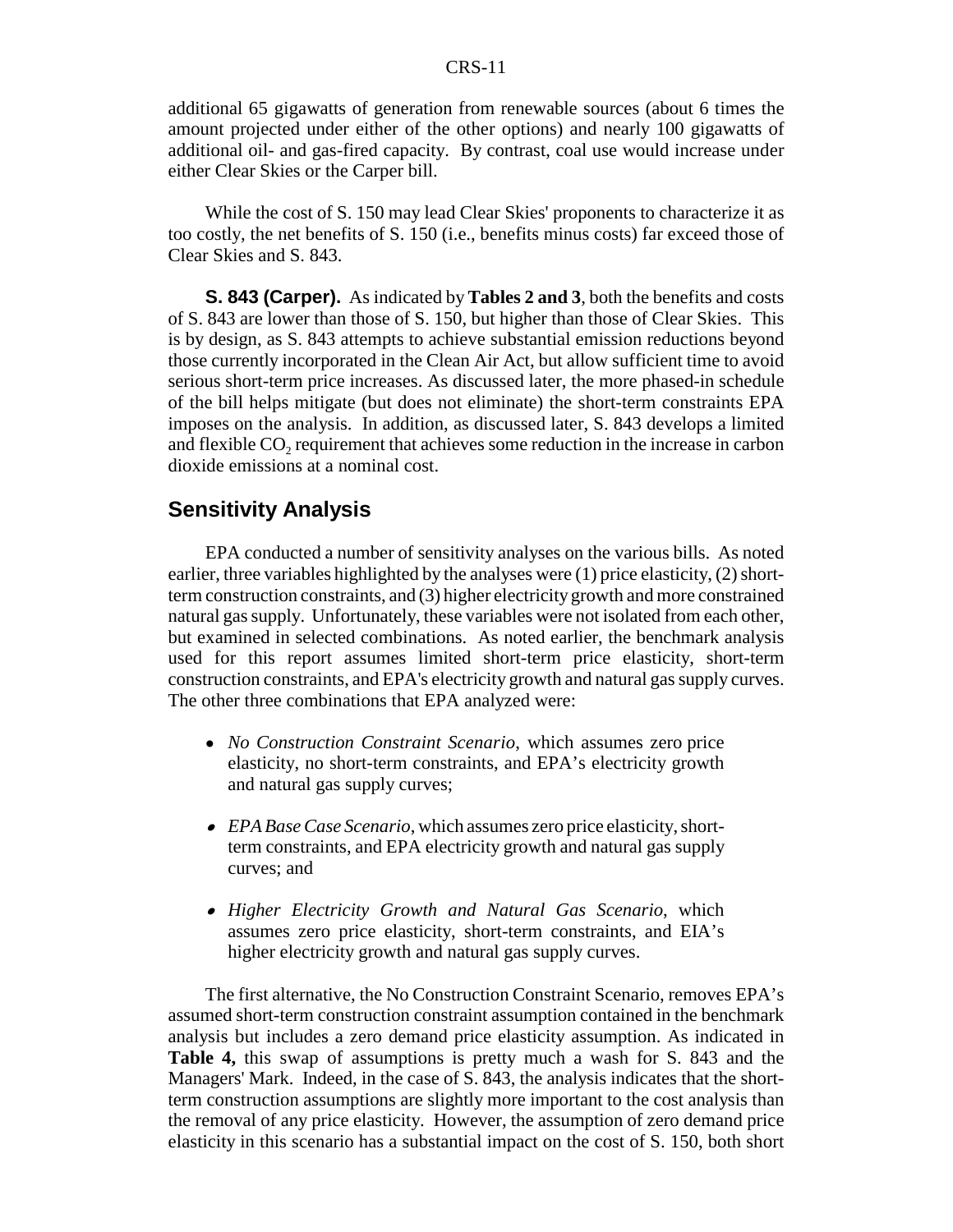#### CRS-11

additional 65 gigawatts of generation from renewable sources (about 6 times the amount projected under either of the other options) and nearly 100 gigawatts of additional oil- and gas-fired capacity. By contrast, coal use would increase under either Clear Skies or the Carper bill.

While the cost of S. 150 may lead Clear Skies' proponents to characterize it as too costly, the net benefits of S. 150 (i.e., benefits minus costs) far exceed those of Clear Skies and S. 843.

**S. 843 (Carper).** As indicated by **Tables 2 and 3**, both the benefits and costs of S. 843 are lower than those of S. 150, but higher than those of Clear Skies. This is by design, as S. 843 attempts to achieve substantial emission reductions beyond those currently incorporated in the Clean Air Act, but allow sufficient time to avoid serious short-term price increases. As discussed later, the more phased-in schedule of the bill helps mitigate (but does not eliminate) the short-term constraints EPA imposes on the analysis. In addition, as discussed later, S. 843 develops a limited and flexible  $CO<sub>2</sub>$  requirement that achieves some reduction in the increase in carbon dioxide emissions at a nominal cost.

#### **Sensitivity Analysis**

EPA conducted a number of sensitivity analyses on the various bills. As noted earlier, three variables highlighted by the analyses were (1) price elasticity, (2) shortterm construction constraints, and (3) higher electricity growth and more constrained natural gas supply. Unfortunately, these variables were not isolated from each other, but examined in selected combinations. As noted earlier, the benchmark analysis used for this report assumes limited short-term price elasticity, short-term construction constraints, and EPA's electricity growth and natural gas supply curves. The other three combinations that EPA analyzed were:

- ! *No Construction Constraint Scenario*, which assumes zero price elasticity, no short-term constraints, and EPA's electricity growth and natural gas supply curves;
- ! *EPA Base Case Scenario*, which assumes zero price elasticity, shortterm constraints, and EPA electricity growth and natural gas supply curves; and
- ! *Higher Electricity Growth and Natural Gas Scenario*, which assumes zero price elasticity, short-term constraints, and EIA's higher electricity growth and natural gas supply curves.

The first alternative, the No Construction Constraint Scenario, removes EPA's assumed short-term construction constraint assumption contained in the benchmark analysis but includes a zero demand price elasticity assumption. As indicated in **Table 4,** this swap of assumptions is pretty much a wash for S. 843 and the Managers' Mark. Indeed, in the case of S. 843, the analysis indicates that the shortterm construction assumptions are slightly more important to the cost analysis than the removal of any price elasticity. However, the assumption of zero demand price elasticity in this scenario has a substantial impact on the cost of S. 150, both short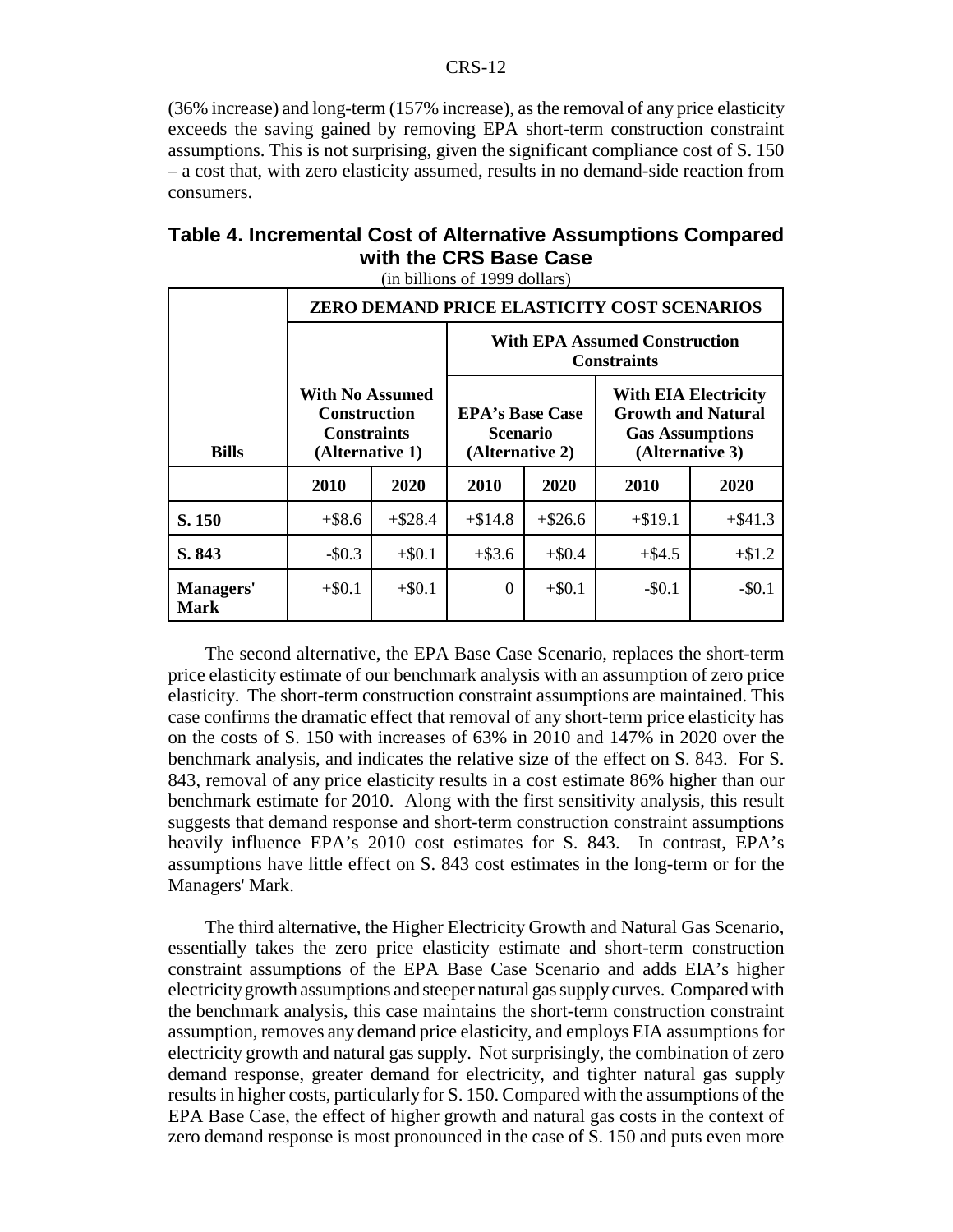(36% increase) and long-term (157% increase), as the removal of any price elasticity exceeds the saving gained by removing EPA short-term construction constraint assumptions. This is not surprising, given the significant compliance cost of S. 150 – a cost that, with zero elasticity assumed, results in no demand-side reaction from consumers.

| Table 4. Incremental Cost of Alternative Assumptions Compared |  |
|---------------------------------------------------------------|--|
| with the CRS Base Case                                        |  |
| (in billions of 1999 dollars)                                 |  |

|                          | ZERO DEMAND PRICE ELASTICITY COST SCENARIOS                                            |           |                                                              |            |                                                                                                       |            |
|--------------------------|----------------------------------------------------------------------------------------|-----------|--------------------------------------------------------------|------------|-------------------------------------------------------------------------------------------------------|------------|
|                          |                                                                                        |           | <b>With EPA Assumed Construction</b><br><b>Constraints</b>   |            |                                                                                                       |            |
| <b>Bills</b>             | <b>With No Assumed</b><br><b>Construction</b><br><b>Constraints</b><br>(Alternative 1) |           | <b>EPA's Base Case</b><br><b>Scenario</b><br>(Alternative 2) |            | <b>With EIA Electricity</b><br><b>Growth and Natural</b><br><b>Gas Assumptions</b><br>(Alternative 3) |            |
|                          | 2010                                                                                   | 2020      | 2010                                                         | 2020       | 2010                                                                                                  | 2020       |
| S. 150                   | $+$ \$8.6                                                                              | $+ $28.4$ | $+ $14.8$                                                    | $+$ \$26.6 | $+$ \$19.1                                                                                            | $+$ \$41.3 |
| S. 843                   | $-$0.3$                                                                                | $+ $0.1$  | $+$ \$3.6                                                    | $+ $0.4$   | $+$ \$4.5                                                                                             | $+ $1.2$   |
| Managers'<br><b>Mark</b> | $+ $0.1$                                                                               | $+ $0.1$  | $\Omega$                                                     | $+ $0.1$   | $-$0.1$                                                                                               | $-$ \$0.1  |

The second alternative, the EPA Base Case Scenario, replaces the short-term price elasticity estimate of our benchmark analysis with an assumption of zero price elasticity. The short-term construction constraint assumptions are maintained. This case confirms the dramatic effect that removal of any short-term price elasticity has on the costs of S. 150 with increases of 63% in 2010 and 147% in 2020 over the benchmark analysis, and indicates the relative size of the effect on S. 843. For S. 843, removal of any price elasticity results in a cost estimate 86% higher than our benchmark estimate for 2010. Along with the first sensitivity analysis, this result suggests that demand response and short-term construction constraint assumptions heavily influence EPA's 2010 cost estimates for S. 843. In contrast, EPA's assumptions have little effect on S. 843 cost estimates in the long-term or for the Managers' Mark.

The third alternative, the Higher Electricity Growth and Natural Gas Scenario, essentially takes the zero price elasticity estimate and short-term construction constraint assumptions of the EPA Base Case Scenario and adds EIA's higher electricity growth assumptions and steeper natural gas supply curves. Compared with the benchmark analysis, this case maintains the short-term construction constraint assumption, removes any demand price elasticity, and employs EIA assumptions for electricity growth and natural gas supply. Not surprisingly, the combination of zero demand response, greater demand for electricity, and tighter natural gas supply results in higher costs, particularly for S. 150. Compared with the assumptions of the EPA Base Case, the effect of higher growth and natural gas costs in the context of zero demand response is most pronounced in the case of S. 150 and puts even more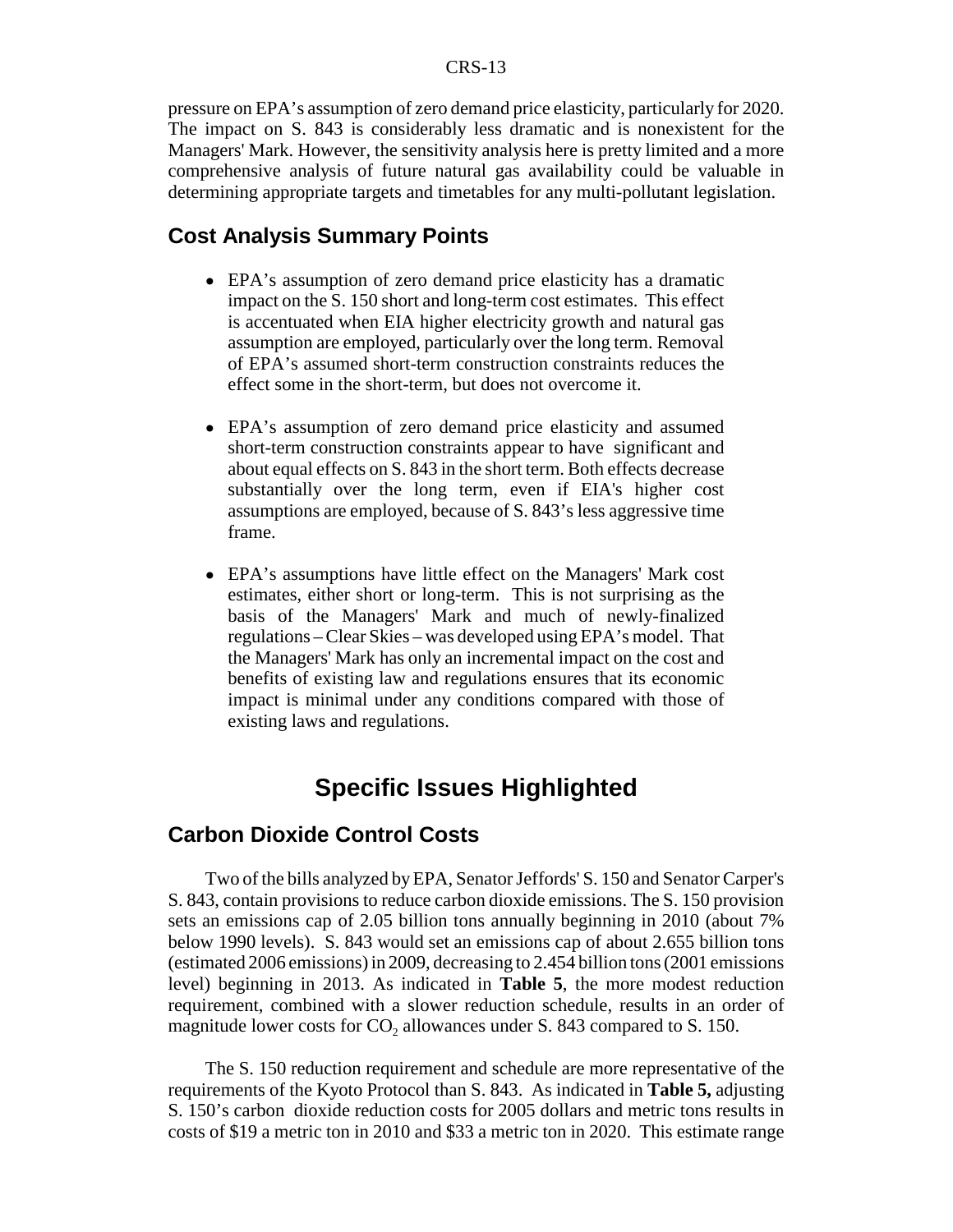#### CRS-13

pressure on EPA's assumption of zero demand price elasticity, particularly for 2020. The impact on S. 843 is considerably less dramatic and is nonexistent for the Managers' Mark. However, the sensitivity analysis here is pretty limited and a more comprehensive analysis of future natural gas availability could be valuable in determining appropriate targets and timetables for any multi-pollutant legislation.

#### **Cost Analysis Summary Points**

- ! EPA's assumption of zero demand price elasticity has a dramatic impact on the S. 150 short and long-term cost estimates. This effect is accentuated when EIA higher electricity growth and natural gas assumption are employed, particularly over the long term. Removal of EPA's assumed short-term construction constraints reduces the effect some in the short-term, but does not overcome it.
- EPA's assumption of zero demand price elasticity and assumed short-term construction constraints appear to have significant and about equal effects on S. 843 in the short term. Both effects decrease substantially over the long term, even if EIA's higher cost assumptions are employed, because of S. 843's less aggressive time frame.
- ! EPA's assumptions have little effect on the Managers' Mark cost estimates, either short or long-term. This is not surprising as the basis of the Managers' Mark and much of newly-finalized regulations – Clear Skies – was developed using EPA's model. That the Managers' Mark has only an incremental impact on the cost and benefits of existing law and regulations ensures that its economic impact is minimal under any conditions compared with those of existing laws and regulations.

### **Specific Issues Highlighted**

#### **Carbon Dioxide Control Costs**

Two of the bills analyzed by EPA, Senator Jeffords' S. 150 and Senator Carper's S. 843, contain provisions to reduce carbon dioxide emissions. The S. 150 provision sets an emissions cap of 2.05 billion tons annually beginning in 2010 (about 7% below 1990 levels). S. 843 would set an emissions cap of about 2.655 billion tons (estimated 2006 emissions) in 2009, decreasing to 2.454 billion tons (2001 emissions level) beginning in 2013. As indicated in **Table 5**, the more modest reduction requirement, combined with a slower reduction schedule, results in an order of magnitude lower costs for CO<sub>2</sub> allowances under S. 843 compared to S. 150.

The S. 150 reduction requirement and schedule are more representative of the requirements of the Kyoto Protocol than S. 843. As indicated in **Table 5,** adjusting S. 150's carbon dioxide reduction costs for 2005 dollars and metric tons results in costs of \$19 a metric ton in 2010 and \$33 a metric ton in 2020. This estimate range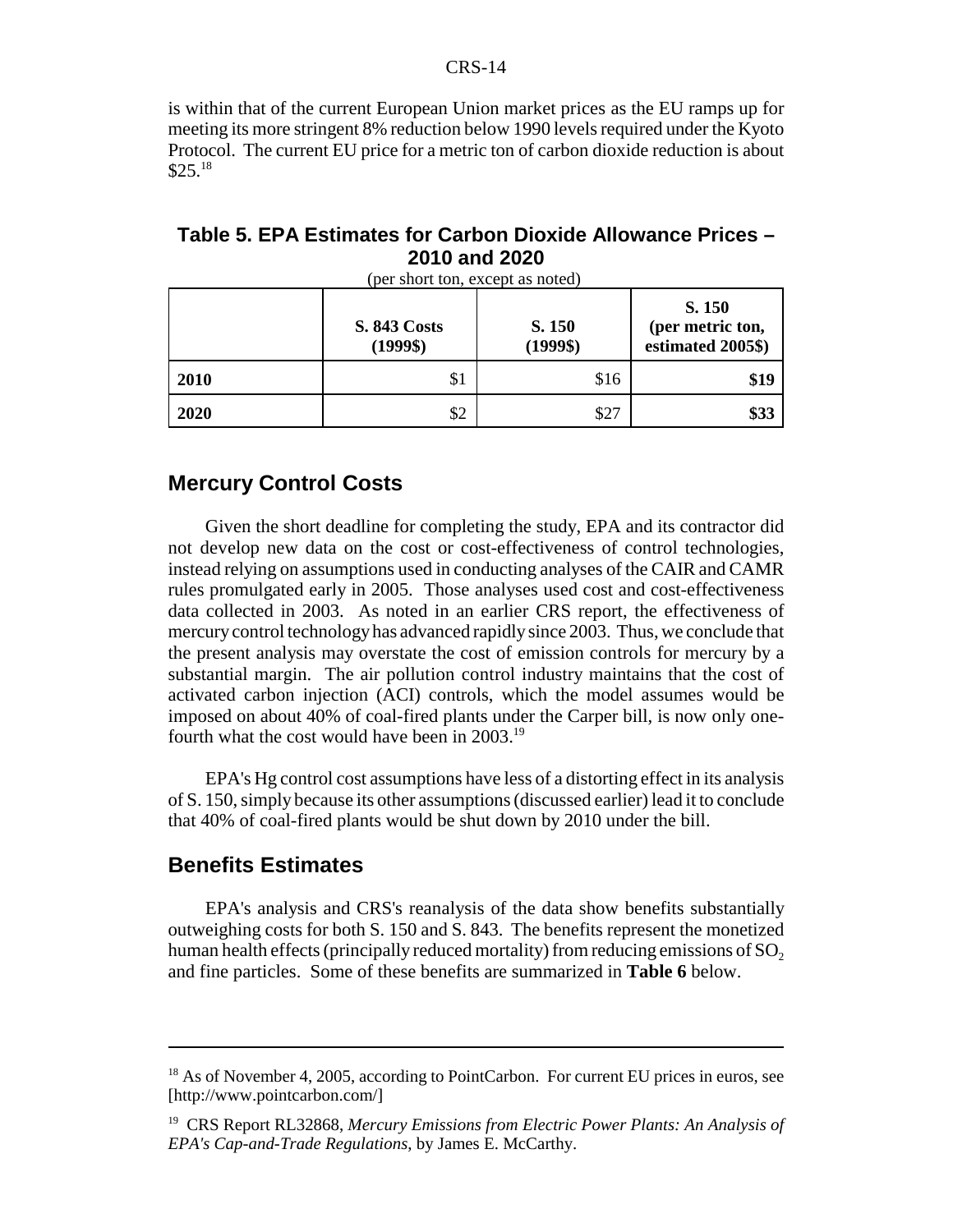#### CRS-14

is within that of the current European Union market prices as the EU ramps up for meeting its more stringent 8% reduction below 1990 levels required under the Kyoto Protocol. The current EU price for a metric ton of carbon dioxide reduction is about  $$25.<sup>18</sup>$ 

#### **Table 5. EPA Estimates for Carbon Dioxide Allowance Prices – 2010 and 2020**

|      | <b>S. 843 Costs</b><br>$(1999\$ | S. 150<br>$(1999\$ | S. 150<br>(per metric ton,<br>estimated 2005\$) |
|------|---------------------------------|--------------------|-------------------------------------------------|
| 2010 | \$                              | \$16               | \$19                                            |
| 2020 | \$2                             | \$27               | \$33                                            |

(per short ton, except as noted)

#### **Mercury Control Costs**

Given the short deadline for completing the study, EPA and its contractor did not develop new data on the cost or cost-effectiveness of control technologies, instead relying on assumptions used in conducting analyses of the CAIR and CAMR rules promulgated early in 2005. Those analyses used cost and cost-effectiveness data collected in 2003. As noted in an earlier CRS report, the effectiveness of mercury control technology has advanced rapidly since 2003. Thus, we conclude that the present analysis may overstate the cost of emission controls for mercury by a substantial margin. The air pollution control industry maintains that the cost of activated carbon injection (ACI) controls, which the model assumes would be imposed on about 40% of coal-fired plants under the Carper bill, is now only onefourth what the cost would have been in 2003.19

EPA's Hg control cost assumptions have less of a distorting effect in its analysis of S. 150, simply because its other assumptions (discussed earlier) lead it to conclude that 40% of coal-fired plants would be shut down by 2010 under the bill.

#### **Benefits Estimates**

EPA's analysis and CRS's reanalysis of the data show benefits substantially outweighing costs for both S. 150 and S. 843. The benefits represent the monetized human health effects (principally reduced mortality) from reducing emissions of  $SO<sub>2</sub>$ and fine particles. Some of these benefits are summarized in **Table 6** below.

<sup>&</sup>lt;sup>18</sup> As of November 4, 2005, according to PointCarbon. For current EU prices in euros, see [http://www.pointcarbon.com/]

<sup>19</sup> CRS Report RL32868, *Mercury Emissions from Electric Power Plants: An Analysis of EPA's Cap-and-Trade Regulations*, by James E. McCarthy.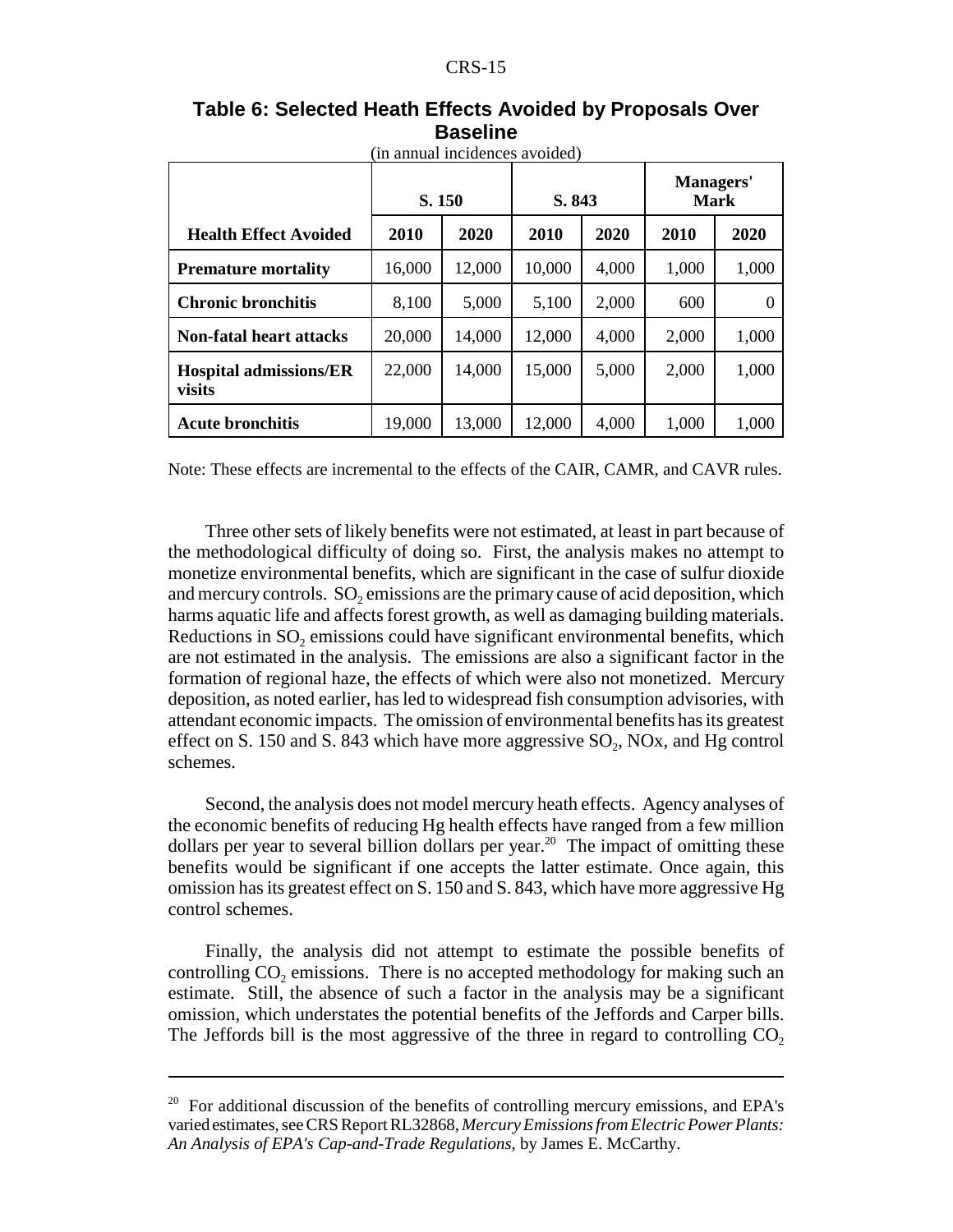| (in annual incidences avoided)          |        |        |        |       |                                 |       |
|-----------------------------------------|--------|--------|--------|-------|---------------------------------|-------|
|                                         | S. 150 |        | S. 843 |       | <b>Managers'</b><br><b>Mark</b> |       |
| <b>Health Effect Avoided</b>            | 2010   | 2020   | 2010   | 2020  | 2010                            | 2020  |
| <b>Premature mortality</b>              | 16,000 | 12,000 | 10,000 | 4,000 | 1,000                           | 1,000 |
| <b>Chronic bronchitis</b>               | 8,100  | 5,000  | 5,100  | 2,000 | 600                             |       |
| <b>Non-fatal heart attacks</b>          | 20,000 | 14,000 | 12,000 | 4,000 | 2,000                           | 1,000 |
| <b>Hospital admissions/ER</b><br>visits | 22,000 | 14,000 | 15,000 | 5,000 | 2,000                           | 1,000 |
| <b>Acute bronchitis</b>                 | 19,000 | 13,000 | 12,000 | 4,000 | 1,000                           | 1,000 |

#### **Table 6: Selected Heath Effects Avoided by Proposals Over Baseline**

Note: These effects are incremental to the effects of the CAIR, CAMR, and CAVR rules.

Three other sets of likely benefits were not estimated, at least in part because of the methodological difficulty of doing so. First, the analysis makes no attempt to monetize environmental benefits, which are significant in the case of sulfur dioxide and mercury controls.  $SO_2$  emissions are the primary cause of acid deposition, which harms aquatic life and affects forest growth, as well as damaging building materials. Reductions in SO<sub>2</sub> emissions could have significant environmental benefits, which are not estimated in the analysis. The emissions are also a significant factor in the formation of regional haze, the effects of which were also not monetized. Mercury deposition, as noted earlier, has led to widespread fish consumption advisories, with attendant economic impacts. The omission of environmental benefits has its greatest effect on S. 150 and S. 843 which have more aggressive  $SO_2$ , NOx, and Hg control schemes.

Second, the analysis does not model mercury heath effects. Agency analyses of the economic benefits of reducing Hg health effects have ranged from a few million dollars per year to several billion dollars per year.<sup>20</sup> The impact of omitting these benefits would be significant if one accepts the latter estimate. Once again, this omission has its greatest effect on S. 150 and S. 843, which have more aggressive Hg control schemes.

Finally, the analysis did not attempt to estimate the possible benefits of controlling  $CO<sub>2</sub>$  emissions. There is no accepted methodology for making such an estimate. Still, the absence of such a factor in the analysis may be a significant omission, which understates the potential benefits of the Jeffords and Carper bills. The Jeffords bill is the most aggressive of the three in regard to controlling  $CO<sub>2</sub>$ 

<sup>&</sup>lt;sup>20</sup> For additional discussion of the benefits of controlling mercury emissions, and EPA's varied estimates, see CRS Report RL32868, *Mercury Emissions from Electric Power Plants: An Analysis of EPA's Cap-and-Trade Regulations*, by James E. McCarthy.